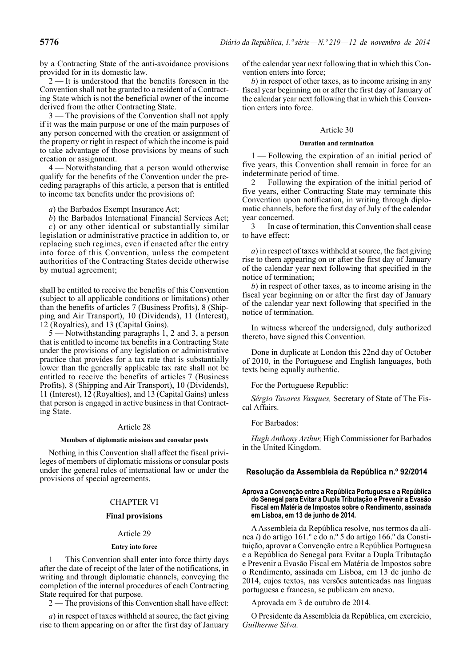by a Contracting State of the anti-avoidance provisions provided for in its domestic law.

2 — It is understood that the benefits foreseen in the Convention shall not be granted to a resident of a Contracting State which is not the beneficial owner of the income derived from the other Contracting State.

3 — The provisions of the Convention shall not apply if it was the main purpose or one of the main purposes of any person concerned with the creation or assignment of the property or right in respect of which the income is paid to take advantage of those provisions by means of such creation or assignment.

4 — Notwithstanding that a person would otherwise qualify for the benefits of the Convention under the preceding paragraphs of this article, a person that is entitled to income tax benefits under the provisions of:

*a*) the Barbados Exempt Insurance Act;

*b*) the Barbados International Financial Services Act; *c*) or any other identical or substantially similar legislation or administrative practice in addition to, or replacing such regimes, even if enacted after the entry into force of this Convention, unless the competent authorities of the Contracting States decide otherwise by mutual agreement;

shall be entitled to receive the benefits of this Convention (subject to all applicable conditions or limitations) other than the benefits of articles 7 (Business Profits), 8 (Shipping and Air Transport), 10 (Dividends), 11 (Interest), 12 (Royalties), and 13 (Capital Gains).

5 — Notwithstanding paragraphs 1, 2 and 3, a person that is entitled to income tax benefits in a Contracting State under the provisions of any legislation or administrative practice that provides for a tax rate that is substantially lower than the generally applicable tax rate shall not be entitled to receive the benefits of articles 7 (Business Profits), 8 (Shipping and Air Transport), 10 (Dividends), 11 (Interest), 12 (Royalties), and 13 (Capital Gains) unless that person is engaged in active business in that Contracting State.

# Article 28

#### **Members of diplomatic missions and consular posts**

Nothing in this Convention shall affect the fiscal privileges of members of diplomatic missions or consular posts under the general rules of international law or under the provisions of special agreements.

# CHAPTER VI

# **Final provisions**

# Article 29

# **Entry into force**

1 — This Convention shall enter into force thirty days after the date of receipt of the later of the notifications, in writing and through diplomatic channels, conveying the completion of the internal procedures of each Contracting State required for that purpose.

2 — The provisions of this Convention shall have effect:

*a*) in respect of taxes withheld at source, the fact giving rise to them appearing on or after the first day of January of the calendar year next following that in which this Convention enters into force;

*b*) in respect of other taxes, as to income arising in any fiscal year beginning on or after the first day of January of the calendar year next following that in which this Convention enters into force.

# Article 30

#### **Duration and termination**

1 — Following the expiration of an initial period of five years, this Convention shall remain in force for an indeterminate period of time.

2 — Following the expiration of the initial period of five years, either Contracting State may terminate this Convention upon notification, in writing through diplomatic channels, before the first day of July of the calendar year concerned.

3 — In case of termination, this Convention shall cease to have effect:

*a*) in respect of taxes withheld at source, the fact giving rise to them appearing on or after the first day of January of the calendar year next following that specified in the notice of termination;

*b*) in respect of other taxes, as to income arising in the fiscal year beginning on or after the first day of January of the calendar year next following that specified in the notice of termination.

In witness whereof the undersigned, duly authorized thereto, have signed this Convention.

Done in duplicate at London this 22nd day of October of 2010, in the Portuguese and English languages, both texts being equally authentic.

For the Portuguese Republic:

*Sérgio Tavares Vasques,* Secretary of State of The Fiscal Affairs.

For Barbados:

*Hugh Anthony Arthur,* High Commissioner for Barbados in the United Kingdom.

# **Resolução da Assembleia da República n.º 92/2014**

# **Aprova a Convenção entre a República Portuguesa e a República do Senegal para Evitar a Dupla Tributação e Prevenir a Evasão Fiscal em Matéria de Impostos sobre o Rendimento, assinada em Lisboa, em 13 de junho de 2014.**

A Assembleia da República resolve, nos termos da alínea *i*) do artigo 161.º e do n.º 5 do artigo 166.º da Constituição, aprovar a Convenção entre a República Portuguesa e a República do Senegal para Evitar a Dupla Tributação e Prevenir a Evasão Fiscal em Matéria de Impostos sobre o Rendimento, assinada em Lisboa, em 13 de junho de 2014, cujos textos, nas versões autenticadas nas línguas portuguesa e francesa, se publicam em anexo.

Aprovada em 3 de outubro de 2014.

O Presidente da Assembleia da República, em exercício, *Guilherme Silva.*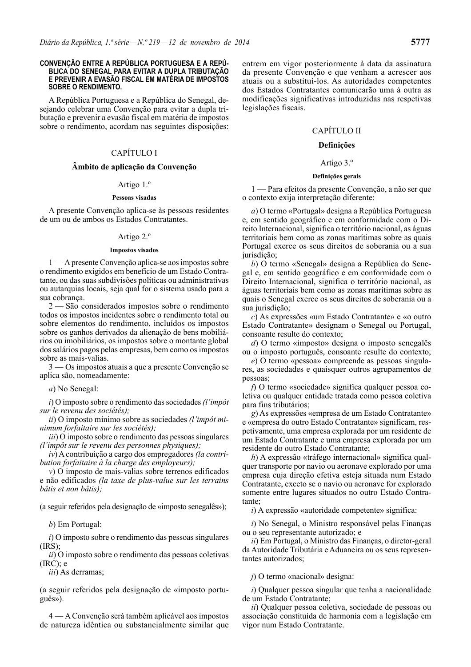# **CONVENÇÃO ENTRE A REPÚBLICA PORTUGUESA E A REPÚ-BLICA DO SENEGAL PARA EVITAR A DUPLA TRIBUTAÇÃO E PREVENIR A EVASÃO FISCAL EM MATÉRIA DE IMPOSTOS SOBRE O RENDIMENTO.**

A República Portuguesa e a República do Senegal, desejando celebrar uma Convenção para evitar a dupla tributação e prevenir a evasão fiscal em matéria de impostos sobre o rendimento, acordam nas seguintes disposições:

# CAPÍTULO I

# **Âmbito de aplicação da Convenção**

# Artigo 1.º

# **Pessoas visadas**

A presente Convenção aplica -se às pessoas residentes de um ou de ambos os Estados Contratantes.

### Artigo 2.º

#### **Impostos visados**

1 — A presente Convenção aplica -se aos impostos sobre o rendimento exigidos em benefício de um Estado Contratante, ou das suas subdivisões políticas ou administrativas ou autarquias locais, seja qual for o sistema usado para a sua cobrança.

2 — São considerados impostos sobre o rendimento todos os impostos incidentes sobre o rendimento total ou sobre elementos do rendimento, incluídos os impostos sobre os ganhos derivados da alienação de bens mobiliários ou imobiliários, os impostos sobre o montante global dos salários pagos pelas empresas, bem como os impostos sobre as mais-valias.

3 — Os impostos atuais a que a presente Convenção se aplica são, nomeadamente:

*a*) No Senegal:

*i*) O imposto sobre o rendimento das sociedades *(l'impôt sur le revenu des sociétés);*

*ii*) O imposto mínimo sobre as sociedades *(l'impôt minimum forfaitaire sur les sociétés);*

*iii*) O imposto sobre o rendimento das pessoas singulares *(l'impôt sur le revenu des personnes physiques);*

*iv*) A contribuição a cargo dos empregadores *(la contribution forfaitaire à la charge des employeurs);*

*v*) O imposto de mais-valias sobre terrenos edificados e não edificados *(la taxe de plus -value sur les terrains bâtis et non bâtis);*

(a seguir referidos pela designação de «imposto senegalês»);

*b*) Em Portugal:

*i*) O imposto sobre o rendimento das pessoas singulares (IRS);

*ii*) O imposto sobre o rendimento das pessoas coletivas (IRC); e

*iii*) As derramas;

(a seguir referidos pela designação de «imposto português»).

4 — A Convenção será também aplicável aos impostos de natureza idêntica ou substancialmente similar que entrem em vigor posteriormente à data da assinatura da presente Convenção e que venham a acrescer aos atuais ou a substituí -los. As autoridades competentes dos Estados Contratantes comunicarão uma à outra as modificações significativas introduzidas nas respetivas legislações fiscais.

# CAPÍTULO II

# **Definições**

# Artigo 3.º

# **Definições gerais**

1 — Para efeitos da presente Convenção, a não ser que o contexto exija interpretação diferente:

*a*) O termo «Portugal» designa a República Portuguesa e, em sentido geográfico e em conformidade com o Direito Internacional, significa o território nacional, as águas territoriais bem como as zonas marítimas sobre as quais Portugal exerce os seus direitos de soberania ou a sua jurisdição;

*b*) O termo «Senegal» designa a República do Senegal e, em sentido geográfico e em conformidade com o Direito Internacional, significa o território nacional, as águas territoriais bem como as zonas marítimas sobre as quais o Senegal exerce os seus direitos de soberania ou a sua jurisdição;

*c*) As expressões «um Estado Contratante» e «o outro Estado Contratante» designam o Senegal ou Portugal, consoante resulte do contexto;

*d*) O termo «imposto» designa o imposto senegalês ou o imposto português, consoante resulte do contexto;

*e*) O termo «pessoa» compreende as pessoas singulares, as sociedades e quaisquer outros agrupamentos de pessoas;

*f*) O termo «sociedade» significa qualquer pessoa coletiva ou qualquer entidade tratada como pessoa coletiva para fins tributários;

*g*) As expressões «empresa de um Estado Contratante» e «empresa do outro Estado Contratante» significam, respetivamente, uma empresa explorada por um residente de um Estado Contratante e uma empresa explorada por um residente do outro Estado Contratante;

*h*) A expressão «tráfego internacional» significa qualquer transporte por navio ou aeronave explorado por uma empresa cuja direção efetiva esteja situada num Estado Contratante, exceto se o navio ou aeronave for explorado somente entre lugares situados no outro Estado Contratante;

*i*) A expressão «autoridade competente» significa:

*i*) No Senegal, o Ministro responsável pelas Finanças ou o seu representante autorizado; e

*ii*) Em Portugal, o Ministro das Finanças, o diretor -geral da Autoridade Tributária e Aduaneira ou os seus representantes autorizados;

# *j*) O termo «nacional» designa:

*i*) Qualquer pessoa singular que tenha a nacionalidade de um Estado Contratante;

*ii*) Qualquer pessoa coletiva, sociedade de pessoas ou associação constituída de harmonia com a legislação em vigor num Estado Contratante.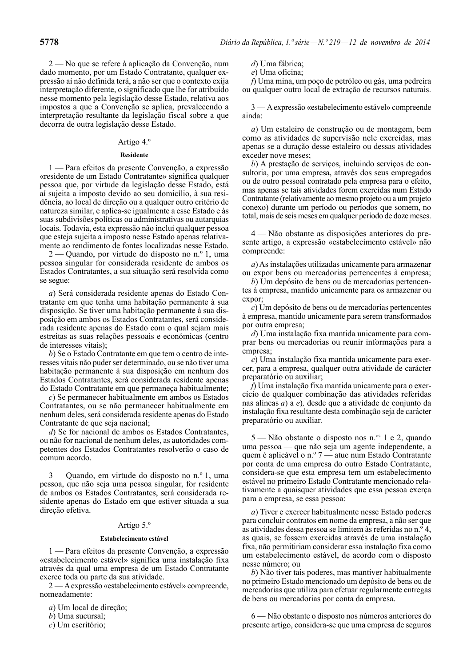2 — No que se refere à aplicação da Convenção, num dado momento, por um Estado Contratante, qualquer expressão aí não definida terá, a não ser que o contexto exija interpretação diferente, o significado que lhe for atribuído nesse momento pela legislação desse Estado, relativa aos impostos a que a Convenção se aplica, prevalecendo a interpretação resultante da legislação fiscal sobre a que decorra de outra legislação desse Estado.

# Artigo 4.º

### **Residente**

1 — Para efeitos da presente Convenção, a expressão «residente de um Estado Contratante» significa qualquer pessoa que, por virtude da legislação desse Estado, está aí sujeita a imposto devido ao seu domicílio, à sua residência, ao local de direção ou a qualquer outro critério de natureza similar, e aplica -se igualmente a esse Estado e às suas subdivisões políticas ou administrativas ou autarquias locais. Todavia, esta expressão não inclui qualquer pessoa que esteja sujeita a imposto nesse Estado apenas relativamente ao rendimento de fontes localizadas nesse Estado.

2 — Quando, por virtude do disposto no n.º 1, uma pessoa singular for considerada residente de ambos os Estados Contratantes, a sua situação será resolvida como se segue:

*a*) Será considerada residente apenas do Estado Contratante em que tenha uma habitação permanente à sua disposição. Se tiver uma habitação permanente à sua disposição em ambos os Estados Contratantes, será considerada residente apenas do Estado com o qual sejam mais estreitas as suas relações pessoais e económicas (centro de interesses vitais);

*b*) Se o Estado Contratante em que tem o centro de interesses vitais não puder ser determinado, ou se não tiver uma habitação permanente à sua disposição em nenhum dos Estados Contratantes, será considerada residente apenas do Estado Contratante em que permaneça habitualmente;

*c*) Se permanecer habitualmente em ambos os Estados Contratantes, ou se não permanecer habitualmente em nenhum deles, será considerada residente apenas do Estado Contratante de que seja nacional;

*d*) Se for nacional de ambos os Estados Contratantes, ou não for nacional de nenhum deles, as autoridades competentes dos Estados Contratantes resolverão o caso de comum acordo.

3 — Quando, em virtude do disposto no n.º 1, uma pessoa, que não seja uma pessoa singular, for residente de ambos os Estados Contratantes, será considerada residente apenas do Estado em que estiver situada a sua direção efetiva.

# Artigo 5.º

#### **Estabelecimento estável**

1 — Para efeitos da presente Convenção, a expressão «estabelecimento estável» significa uma instalação fixa através da qual uma empresa de um Estado Contratante exerce toda ou parte da sua atividade.

2 — A expressão «estabelecimento estável» compreende, nomeadamente:

*a*) Um local de direção;

*b*) Uma sucursal;

*c*) Um escritório;

*d*) Uma fábrica;

*e*) Uma oficina;

*f*) Uma mina, um poço de petróleo ou gás, uma pedreira ou qualquer outro local de extração de recursos naturais.

3 — A expressão «estabelecimento estável» compreende ainda:

*a*) Um estaleiro de construção ou de montagem, bem como as atividades de supervisão nele exercidas, mas apenas se a duração desse estaleiro ou dessas atividades exceder nove meses;

*b*) A prestação de serviços, incluindo serviços de consultoria, por uma empresa, através dos seus empregados ou de outro pessoal contratado pela empresa para o efeito, mas apenas se tais atividades forem exercidas num Estado Contratante (relativamente ao mesmo projeto ou a um projeto conexo) durante um período ou períodos que somem, no total, mais de seis meses em qualquer período de doze meses.

4 — Não obstante as disposições anteriores do presente artigo, a expressão «estabelecimento estável» não compreende:

*a*) As instalações utilizadas unicamente para armazenar ou expor bens ou mercadorias pertencentes à empresa;

*b*) Um depósito de bens ou de mercadorias pertencentes à empresa, mantido unicamente para os armazenar ou expor;

*c*) Um depósito de bens ou de mercadorias pertencentes à empresa, mantido unicamente para serem transformados por outra empresa;

*d*) Uma instalação fixa mantida unicamente para comprar bens ou mercadorias ou reunir informações para a empresa;

*e*) Uma instalação fixa mantida unicamente para exercer, para a empresa, qualquer outra atividade de carácter preparatório ou auxiliar;

*f*) Uma instalação fixa mantida unicamente para o exercício de qualquer combinação das atividades referidas nas alíneas *a*) a *e*)*,* desde que a atividade de conjunto da instalação fixa resultante desta combinação seja de carácter preparatório ou auxiliar.

 $5 -$ Não obstante o disposto nos n.<sup>os</sup> 1 e 2, quando uma pessoa — que não seja um agente independente, a quem é aplicável o n.º 7 — atue num Estado Contratante por conta de uma empresa do outro Estado Contratante, considera -se que esta empresa tem um estabelecimento estável no primeiro Estado Contratante mencionado relativamente a quaisquer atividades que essa pessoa exerça para a empresa, se essa pessoa:

*a*) Tiver e exercer habitualmente nesse Estado poderes para concluir contratos em nome da empresa, a não ser que as atividades dessa pessoa se limitem às referidas no n.º 4, as quais, se fossem exercidas através de uma instalação fixa, não permitiriam considerar essa instalação fixa como um estabelecimento estável, de acordo com o disposto nesse número; ou

*b*) Não tiver tais poderes, mas mantiver habitualmente no primeiro Estado mencionado um depósito de bens ou de mercadorias que utiliza para efetuar regularmente entregas de bens ou mercadorias por conta da empresa.

6 — Não obstante o disposto nos números anteriores do presente artigo, considera -se que uma empresa de seguros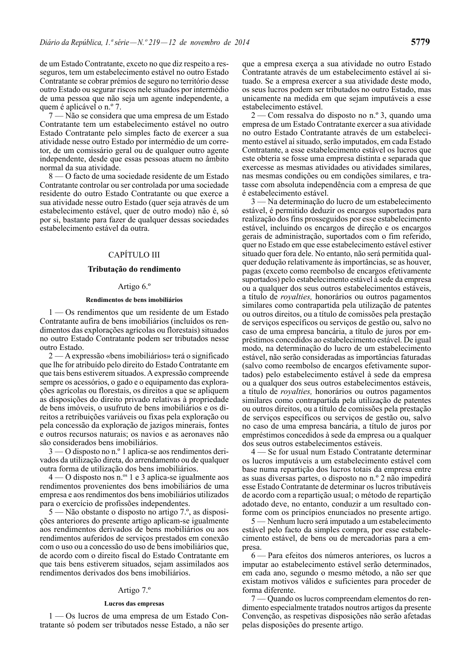de um Estado Contratante, exceto no que diz respeito a resseguros, tem um estabelecimento estável no outro Estado Contratante se cobrar prémios de seguro no território desse outro Estado ou segurar riscos nele situados por intermédio de uma pessoa que não seja um agente independente, a quem é aplicável o n.º 7.

7 — Não se considera que uma empresa de um Estado Contratante tem um estabelecimento estável no outro Estado Contratante pelo simples facto de exercer a sua atividade nesse outro Estado por intermédio de um corretor, de um comissário geral ou de qualquer outro agente independente, desde que essas pessoas atuem no âmbito normal da sua atividade.

8 — O facto de uma sociedade residente de um Estado Contratante controlar ou ser controlada por uma sociedade residente do outro Estado Contratante ou que exerce a sua atividade nesse outro Estado (quer seja através de um estabelecimento estável, quer de outro modo) não é, só por si, bastante para fazer de qualquer dessas sociedades estabelecimento estável da outra.

# CAPÍTULO III

# **Tributação do rendimento**

# Artigo 6.º

# **Rendimentos de bens imobiliários**

1 — Os rendimentos que um residente de um Estado Contratante aufira de bens imobiliários (incluídos os rendimentos das explorações agrícolas ou florestais) situados no outro Estado Contratante podem ser tributados nesse outro Estado.

2 — A expressão «bens imobiliários» terá o significado que lhe for atribuído pelo direito do Estado Contratante em que tais bens estiverem situados. A expressão compreende sempre os acessórios, o gado e o equipamento das explorações agrícolas ou florestais, os direitos a que se apliquem as disposições do direito privado relativas à propriedade de bens imóveis, o usufruto de bens imobiliários e os direitos a retribuições variáveis ou fixas pela exploração ou pela concessão da exploração de jazigos minerais, fontes e outros recursos naturais; os navios e as aeronaves não são considerados bens imobiliários.

3 — O disposto no n.º 1 aplica -se aos rendimentos derivados da utilização direta, do arrendamento ou de qualquer outra forma de utilização dos bens imobiliários.

 $4 - 0$  disposto nos n.<sup>os</sup> 1 e 3 aplica-se igualmente aos rendimentos provenientes dos bens imobiliários de uma empresa e aos rendimentos dos bens imobiliários utilizados para o exercício de profissões independentes.

5 — Não obstante o disposto no artigo 7.º, as disposições anteriores do presente artigo aplicam -se igualmente aos rendimentos derivados de bens mobiliários ou aos rendimentos auferidos de serviços prestados em conexão com o uso ou a concessão do uso de bens imobiliários que, de acordo com o direito fiscal do Estado Contratante em que tais bens estiverem situados, sejam assimilados aos rendimentos derivados dos bens imobiliários.

### Artigo 7.º

#### **Lucros das empresas**

1 — Os lucros de uma empresa de um Estado Contratante só podem ser tributados nesse Estado, a não ser que a empresa exerça a sua atividade no outro Estado Contratante através de um estabelecimento estável aí situado. Se a empresa exercer a sua atividade deste modo, os seus lucros podem ser tributados no outro Estado, mas unicamente na medida em que sejam imputáveis a esse estabelecimento estável.

2 — Com ressalva do disposto no n.º 3, quando uma empresa de um Estado Contratante exercer a sua atividade no outro Estado Contratante através de um estabelecimento estável aí situado, serão imputados, em cada Estado Contratante, a esse estabelecimento estável os lucros que este obteria se fosse uma empresa distinta e separada que exercesse as mesmas atividades ou atividades similares, nas mesmas condições ou em condições similares, e tratasse com absoluta independência com a empresa de que é estabelecimento estável.

3 — Na determinação do lucro de um estabelecimento estável, é permitido deduzir os encargos suportados para realização dos fins prosseguidos por esse estabelecimento estável, incluindo os encargos de direção e os encargos gerais de administração, suportados com o fim referido, quer no Estado em que esse estabelecimento estável estiver situado quer fora dele. No entanto, não será permitida qualquer dedução relativamente às importâncias, se as houver, pagas (exceto como reembolso de encargos efetivamente suportados) pelo estabelecimento estável à sede da empresa ou a qualquer dos seus outros estabelecimentos estáveis, a título de *royalties,* honorários ou outros pagamentos similares como contrapartida pela utilização de patentes ou outros direitos, ou a título de comissões pela prestação de serviços específicos ou serviços de gestão ou, salvo no caso de uma empresa bancária, a título de juros por empréstimos concedidos ao estabelecimento estável. De igual modo, na determinação do lucro de um estabelecimento estável, não serão consideradas as importâncias faturadas (salvo como reembolso de encargos efetivamente suportados) pelo estabelecimento estável à sede da empresa ou a qualquer dos seus outros estabelecimentos estáveis, a título de *royalties,* honorários ou outros pagamentos similares como contrapartida pela utilização de patentes ou outros direitos, ou a título de comissões pela prestação de serviços específicos ou serviços de gestão ou, salvo no caso de uma empresa bancária, a título de juros por empréstimos concedidos à sede da empresa ou a qualquer dos seus outros estabelecimentos estáveis.

4 — Se for usual num Estado Contratante determinar os lucros imputáveis a um estabelecimento estável com base numa repartição dos lucros totais da empresa entre as suas diversas partes, o disposto no n.º 2 não impedirá esse Estado Contratante de determinar os lucros tributáveis de acordo com a repartição usual; o método de repartição adotado deve, no entanto, conduzir a um resultado conforme com os princípios enunciados no presente artigo.

5 — Nenhum lucro será imputado a um estabelecimento estável pelo facto da simples compra, por esse estabelecimento estável, de bens ou de mercadorias para a empresa.

6 — Para efeitos dos números anteriores, os lucros a imputar ao estabelecimento estável serão determinados, em cada ano, segundo o mesmo método, a não ser que existam motivos válidos e suficientes para proceder de forma diferente.

7 — Quando os lucros compreendam elementos do rendimento especialmente tratados noutros artigos da presente Convenção, as respetivas disposições não serão afetadas pelas disposições do presente artigo.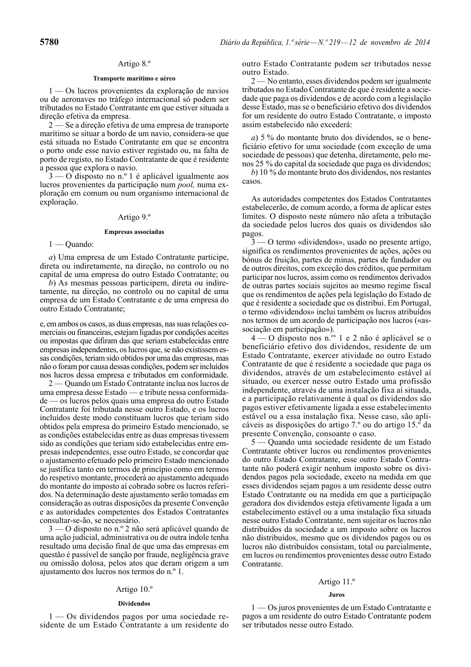# Artigo 8.º

### **Transporte marítimo e aéreo**

1 — Os lucros provenientes da exploração de navios ou de aeronaves no tráfego internacional só podem ser tributados no Estado Contratante em que estiver situada a direção efetiva da empresa.

2 — Se a direção efetiva de uma empresa de transporte marítimo se situar a bordo de um navio, considera -se que está situada no Estado Contratante em que se encontra o porto onde esse navio estiver registado ou, na falta de porto de registo, no Estado Contratante de que é residente a pessoa que explora o navio.

3 — O disposto no n.º 1 é aplicável igualmente aos lucros provenientes da participação num *pool,* numa exploração em comum ou num organismo internacional de exploração.

### Artigo 9.º

### **Empresas associadas**

 $1 -$ Quando:

*a*) Uma empresa de um Estado Contratante participe, direta ou indiretamente, na direção, no controlo ou no capital de uma empresa do outro Estado Contratante; ou

*b*) As mesmas pessoas participem, direta ou indiretamente, na direção, no controlo ou no capital de uma empresa de um Estado Contratante e de uma empresa do outro Estado Contratante;

e, em ambos os casos, as duas empresas, nas suas relações comerciais ou financeiras, estejam ligadas por condições aceites ou impostas que difiram das que seriam estabelecidas entre empresas independentes, os lucros que, se não existissem essas condições, teriam sido obtidos por uma das empresas, mas não o foram por causa dessas condições, podem ser incluídos nos lucros dessa empresa e tributados em conformidade.

2 — Quando um Estado Contratante inclua nos lucros de uma empresa desse Estado — e tribute nessa conformidade — os lucros pelos quais uma empresa do outro Estado Contratante foi tributada nesse outro Estado, e os lucros incluídos deste modo constituam lucros que teriam sido obtidos pela empresa do primeiro Estado mencionado, se as condições estabelecidas entre as duas empresas tivessem sido as condições que teriam sido estabelecidas entre empresas independentes, esse outro Estado, se concordar que o ajustamento efetuado pelo primeiro Estado mencionado se justifica tanto em termos de princípio como em termos do respetivo montante, procederá ao ajustamento adequado do montante do imposto aí cobrado sobre os lucros referidos. Na determinação deste ajustamento serão tomadas em consideração as outras disposições da presente Convenção e as autoridades competentes dos Estados Contratantes consultar -se -ão, se necessário.

3 — O disposto no n.º 2 não será aplicável quando de uma ação judicial, administrativa ou de outra índole tenha resultado uma decisão final de que uma das empresas em questão é passível de sanção por fraude, negligência grave ou omissão dolosa, pelos atos que deram origem a um ajustamento dos lucros nos termos do n.º 1.

# Artigo 10.º

# **Dividendos**

1 — Os dividendos pagos por uma sociedade residente de um Estado Contratante a um residente do outro Estado Contratante podem ser tributados nesse outro Estado.

2 — No entanto, esses dividendos podem ser igualmente tributados no Estado Contratante de que é residente a sociedade que paga os dividendos e de acordo com a legislação desse Estado, mas se o beneficiário efetivo dos dividendos for um residente do outro Estado Contratante, o imposto assim estabelecido não excederá:

*a*) 5 % do montante bruto dos dividendos, se o beneficiário efetivo for uma sociedade (com exceção de uma sociedade de pessoas) que detenha, diretamente, pelo menos 25 % do capital da sociedade que paga os dividendos;

*b*) 10 % do montante bruto dos dividendos, nos restantes casos.

As autoridades competentes dos Estados Contratantes estabelecerão, de comum acordo, a forma de aplicar estes limites. O disposto neste número não afeta a tributação da sociedade pelos lucros dos quais os dividendos são pagos.

3 — O termo «dividendos», usado no presente artigo, significa os rendimentos provenientes de ações, ações ou bónus de fruição, partes de minas, partes de fundador ou de outros direitos, com exceção dos créditos, que permitam participar nos lucros, assim como os rendimentos derivados de outras partes sociais sujeitos ao mesmo regime fiscal que os rendimentos de ações pela legislação do Estado de que é residente a sociedade que os distribui. Em Portugal, o termo «dividendos» inclui também os lucros atribuídos nos termos de um acordo de participação nos lucros («associação em participação»).

4 — O disposto nos n.<sup>os</sup> 1 e 2 não é aplicável se o beneficiário efetivo dos dividendos, residente de um Estado Contratante, exercer atividade no outro Estado Contratante de que é residente a sociedade que paga os dividendos, através de um estabelecimento estável aí situado, ou exercer nesse outro Estado uma profissão independente, através de uma instalação fixa aí situada, e a participação relativamente à qual os dividendos são pagos estiver efetivamente ligada a esse estabelecimento estável ou a essa instalação fixa. Nesse caso, são aplicáveis as disposições do artigo 7.º ou do artigo 15.º da presente Convenção, consoante o caso.

5 — Quando uma sociedade residente de um Estado Contratante obtiver lucros ou rendimentos provenientes do outro Estado Contratante, esse outro Estado Contratante não poderá exigir nenhum imposto sobre os dividendos pagos pela sociedade, exceto na medida em que esses dividendos sejam pagos a um residente desse outro Estado Contratante ou na medida em que a participação geradora dos dividendos esteja efetivamente ligada a um estabelecimento estável ou a uma instalação fixa situada nesse outro Estado Contratante, nem sujeitar os lucros não distribuídos da sociedade a um imposto sobre os lucros não distribuídos, mesmo que os dividendos pagos ou os lucros não distribuídos consistam, total ou parcialmente, em lucros ou rendimentos provenientes desse outro Estado Contratante.

# Artigo 11.º

#### **Juros**

1 — Os juros provenientes de um Estado Contratante e pagos a um residente do outro Estado Contratante podem ser tributados nesse outro Estado.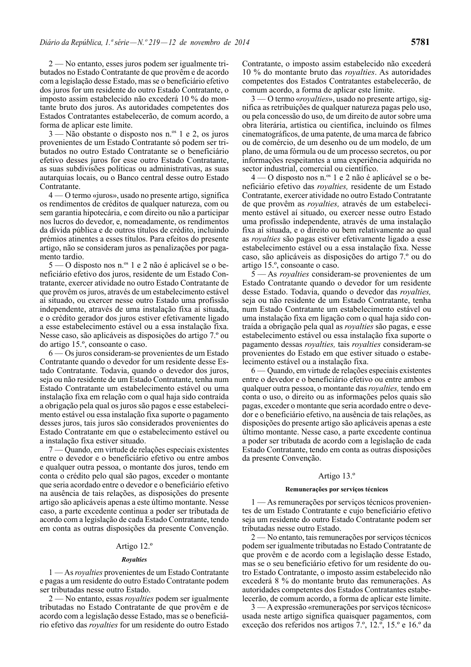2 — No entanto, esses juros podem ser igualmente tributados no Estado Contratante de que provêm e de acordo com a legislação desse Estado, mas se o beneficiário efetivo dos juros for um residente do outro Estado Contratante, o imposto assim estabelecido não excederá 10 % do montante bruto dos juros. As autoridades competentes dos Estados Contratantes estabelecerão, de comum acordo, a forma de aplicar este limite.

 $3 - N$ ão obstante o disposto nos n.<sup>os</sup> 1 e 2, os juros provenientes de um Estado Contratante só podem ser tributados no outro Estado Contratante se o beneficiário efetivo desses juros for esse outro Estado Contratante, as suas subdivisões políticas ou administrativas, as suas autarquias locais, ou o Banco central desse outro Estado Contratante.

4 — O termo «juros», usado no presente artigo, significa os rendimentos de créditos de qualquer natureza, com ou sem garantia hipotecária, e com direito ou não a participar nos lucros do devedor, e, nomeadamente, os rendimentos da dívida pública e de outros títulos de crédito, incluindo prémios atinentes a esses títulos. Para efeitos do presente artigo, não se consideram juros as penalizações por pagamento tardio.

 $5 - O$  disposto nos n.<sup>os</sup> 1 e 2 não é aplicável se o beneficiário efetivo dos juros, residente de um Estado Contratante, exercer atividade no outro Estado Contratante de que provêm os juros, através de um estabelecimento estável aí situado, ou exercer nesse outro Estado uma profissão independente, através de uma instalação fixa aí situada, e o crédito gerador dos juros estiver efetivamente ligado a esse estabelecimento estável ou a essa instalação fixa. Nesse caso, são aplicáveis as disposições do artigo 7.º ou do artigo 15.º, consoante o caso.

6 — Os juros consideram -se provenientes de um Estado Contratante quando o devedor for um residente desse Estado Contratante. Todavia, quando o devedor dos juros, seja ou não residente de um Estado Contratante, tenha num Estado Contratante um estabelecimento estável ou uma instalação fixa em relação com o qual haja sido contraída a obrigação pela qual os juros são pagos e esse estabelecimento estável ou essa instalação fixa suporte o pagamento desses juros, tais juros são considerados provenientes do Estado Contratante em que o estabelecimento estável ou a instalação fixa estiver situado.

7 — Quando, em virtude de relações especiais existentes entre o devedor e o beneficiário efetivo ou entre ambos e qualquer outra pessoa, o montante dos juros, tendo em conta o crédito pelo qual são pagos, exceder o montante que seria acordado entre o devedor e o beneficiário efetivo na ausência de tais relações, as disposições do presente artigo são aplicáveis apenas a este último montante. Nesse caso, a parte excedente continua a poder ser tributada de acordo com a legislação de cada Estado Contratante, tendo em conta as outras disposições da presente Convenção.

### Artigo 12.º

# *Royalties*

1 — As *royalties* provenientes de um Estado Contratante e pagas a um residente do outro Estado Contratante podem ser tributadas nesse outro Estado.

2 — No entanto, essas *royalties* podem ser igualmente tributadas no Estado Contratante de que provêm e de acordo com a legislação desse Estado, mas se o beneficiário efetivo das *royalties* for um residente do outro Estado Contratante, o imposto assim estabelecido não excederá 10 % do montante bruto das *royalties*. As autoridades competentes dos Estados Contratantes estabelecerão, de comum acordo, a forma de aplicar este limite.

3 — O termo «*royalties*», usado no presente artigo, significa as retribuições de qualquer natureza pagas pelo uso, ou pela concessão do uso, de um direito de autor sobre uma obra literária, artística ou científica, incluindo os filmes cinematográficos, de uma patente, de uma marca de fabrico ou de comércio, de um desenho ou de um modelo, de um plano, de uma fórmula ou de um processo secretos, ou por informações respeitantes a uma experiência adquirida no sector industrial, comercial ou científico.

4 — O disposto nos n.<sup>os</sup> 1 e 2 não é aplicável se o beneficiário efetivo das *royalties,* residente de um Estado Contratante, exercer atividade no outro Estado Contratante de que provêm as *royalties,* através de um estabelecimento estável aí situado, ou exercer nesse outro Estado uma profissão independente, através de uma instalação fixa aí situada, e o direito ou bem relativamente ao qual as *royalties* são pagas estiver efetivamente ligado a esse estabelecimento estável ou a essa instalação fixa. Nesse caso, são aplicáveis as disposições do artigo 7.º ou do artigo 15.º, consoante o caso.

5 — As *royalties* consideram -se provenientes de um Estado Contratante quando o devedor for um residente desse Estado. Todavia, quando o devedor das *royalties,* seja ou não residente de um Estado Contratante, tenha num Estado Contratante um estabelecimento estável ou uma instalação fixa em ligação com o qual haja sido contraída a obrigação pela qual as *royalties* são pagas, e esse estabelecimento estável ou essa instalação fixa suporte o pagamento dessas *royalties,* tais *royalties* consideram -se provenientes do Estado em que estiver situado o estabelecimento estável ou a instalação fixa.

6 — Quando, em virtude de relações especiais existentes entre o devedor e o beneficiário efetivo ou entre ambos e qualquer outra pessoa, o montante das *royalties,* tendo em conta o uso, o direito ou as informações pelos quais são pagas, exceder o montante que seria acordado entre o devedor e o beneficiário efetivo, na ausência de tais relações, as disposições do presente artigo são aplicáveis apenas a este último montante. Nesse caso, a parte excedente continua a poder ser tributada de acordo com a legislação de cada Estado Contratante, tendo em conta as outras disposições da presente Convenção.

### Artigo 13.º

#### **Remunerações por serviços técnicos**

1 — As remunerações por serviços técnicos provenientes de um Estado Contratante e cujo beneficiário efetivo seja um residente do outro Estado Contratante podem ser tributadas nesse outro Estado.

2 — No entanto, tais remunerações por serviços técnicos podem ser igualmente tributadas no Estado Contratante de que provêm e de acordo com a legislação desse Estado, mas se o seu beneficiário efetivo for um residente do outro Estado Contratante, o imposto assim estabelecido não excederá 8 % do montante bruto das remunerações. As autoridades competentes dos Estados Contratantes estabelecerão, de comum acordo, a forma de aplicar este limite.

3 — A expressão «remunerações por serviços técnicos» usada neste artigo significa quaisquer pagamentos, com exceção dos referidos nos artigos 7.º, 12.º, 15.º e 16.º da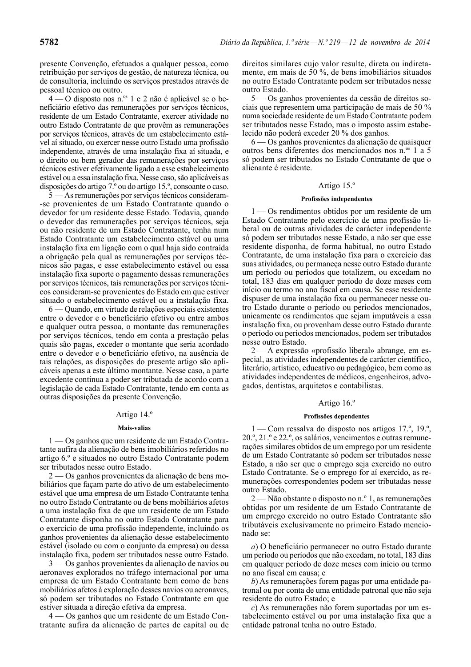presente Convenção, efetuados a qualquer pessoa, como retribuição por serviços de gestão, de natureza técnica, ou de consultoria, incluindo os serviços prestados através de pessoal técnico ou outro.

 $4 - 0$  disposto nos n.<sup>os</sup> 1 e 2 não é aplicável se o beneficiário efetivo das remunerações por serviços técnicos, residente de um Estado Contratante, exercer atividade no outro Estado Contratante de que provêm as remunerações por serviços técnicos, através de um estabelecimento estável aí situado, ou exercer nesse outro Estado uma profissão independente, através de uma instalação fixa aí situada, e o direito ou bem gerador das remunerações por serviços técnicos estiver efetivamente ligado a esse estabelecimento estável ou a essa instalação fixa. Nesse caso, são aplicáveis as disposições do artigo 7.º ou do artigo 15.º, consoante o caso.

5 — As remunerações por serviços técnicos consideram- -se provenientes de um Estado Contratante quando o devedor for um residente desse Estado. Todavia, quando o devedor das remunerações por serviços técnicos, seja ou não residente de um Estado Contratante, tenha num Estado Contratante um estabelecimento estável ou uma instalação fixa em ligação com o qual haja sido contraída a obrigação pela qual as remunerações por serviços técnicos são pagas, e esse estabelecimento estável ou essa instalação fixa suporte o pagamento dessas remunerações por serviços técnicos, tais remunerações por serviços técnicos consideram -se provenientes do Estado em que estiver situado o estabelecimento estável ou a instalação fixa.

6 — Quando, em virtude de relações especiais existentes entre o devedor e o beneficiário efetivo ou entre ambos e qualquer outra pessoa, o montante das remunerações por serviços técnicos, tendo em conta a prestação pelas quais são pagas, exceder o montante que seria acordado entre o devedor e o beneficiário efetivo, na ausência de tais relações, as disposições do presente artigo são aplicáveis apenas a este último montante. Nesse caso, a parte excedente continua a poder ser tributada de acordo com a legislação de cada Estado Contratante, tendo em conta as outras disposições da presente Convenção.

# Artigo 14.º

### **Mais -valias**

1 — Os ganhos que um residente de um Estado Contratante aufira da alienação de bens imobiliários referidos no artigo 6.º e situados no outro Estado Contratante podem ser tributados nesse outro Estado.

2 — Os ganhos provenientes da alienação de bens mobiliários que façam parte do ativo de um estabelecimento estável que uma empresa de um Estado Contratante tenha no outro Estado Contratante ou de bens mobiliários afetos a uma instalação fixa de que um residente de um Estado Contratante disponha no outro Estado Contratante para o exercício de uma profissão independente, incluindo os ganhos provenientes da alienação desse estabelecimento estável (isolado ou com o conjunto da empresa) ou dessa instalação fixa, podem ser tributados nesse outro Estado.

3 — Os ganhos provenientes da alienação de navios ou aeronaves explorados no tráfego internacional por uma empresa de um Estado Contratante bem como de bens mobiliários afetos à exploração desses navios ou aeronaves, só podem ser tributados no Estado Contratante em que estiver situada a direção efetiva da empresa.

4 — Os ganhos que um residente de um Estado Contratante aufira da alienação de partes de capital ou de direitos similares cujo valor resulte, direta ou indiretamente, em mais de 50 %, de bens imobiliários situados no outro Estado Contratante podem ser tributados nesse outro Estado.

5 — Os ganhos provenientes da cessão de direitos sociais que representem uma participação de mais de 50 % numa sociedade residente de um Estado Contratante podem ser tributados nesse Estado, mas o imposto assim estabelecido não poderá exceder 20 % dos ganhos.

6 — Os ganhos provenientes da alienação de quaisquer outros bens diferentes dos mencionados nos n.<sup>os</sup> 1 a 5 só podem ser tributados no Estado Contratante de que o alienante é residente.

# Artigo 15.º

### **Profissões independentes**

1 — Os rendimentos obtidos por um residente de um Estado Contratante pelo exercício de uma profissão liberal ou de outras atividades de carácter independente só podem ser tributados nesse Estado, a não ser que esse residente disponha, de forma habitual, no outro Estado Contratante, de uma instalação fixa para o exercício das suas atividades, ou permaneça nesse outro Estado durante um período ou períodos que totalizem, ou excedam no total, 183 dias em qualquer período de doze meses com início ou termo no ano fiscal em causa. Se esse residente dispuser de uma instalação fixa ou permanecer nesse outro Estado durante o período ou períodos mencionados, unicamente os rendimentos que sejam imputáveis a essa instalação fixa, ou provenham desse outro Estado durante o período ou períodos mencionados, podem ser tributados nesse outro Estado.

2 — A expressão «profissão liberal» abrange, em especial, as atividades independentes de carácter científico, literário, artístico, educativo ou pedagógico, bem como as atividades independentes de médicos, engenheiros, advogados, dentistas, arquitetos e contabilistas.

# Artigo 16.º

### **Profissões dependentes**

1 — Com ressalva do disposto nos artigos 17.º, 19.º, 20.º, 21.º e 22.º, os salários, vencimentos e outras remunerações similares obtidos de um emprego por um residente de um Estado Contratante só podem ser tributados nesse Estado, a não ser que o emprego seja exercido no outro Estado Contratante. Se o emprego for aí exercido, as remunerações correspondentes podem ser tributadas nesse outro Estado.

2 — Não obstante o disposto no n.º 1, as remunerações obtidas por um residente de um Estado Contratante de um emprego exercido no outro Estado Contratante são tributáveis exclusivamente no primeiro Estado mencionado se:

*a*) O beneficiário permanecer no outro Estado durante um período ou períodos que não excedam, no total, 183 dias em qualquer período de doze meses com início ou termo no ano fiscal em causa; e

*b*) As remunerações forem pagas por uma entidade patronal ou por conta de uma entidade patronal que não seja residente do outro Estado; e

*c*) As remunerações não forem suportadas por um estabelecimento estável ou por uma instalação fixa que a entidade patronal tenha no outro Estado.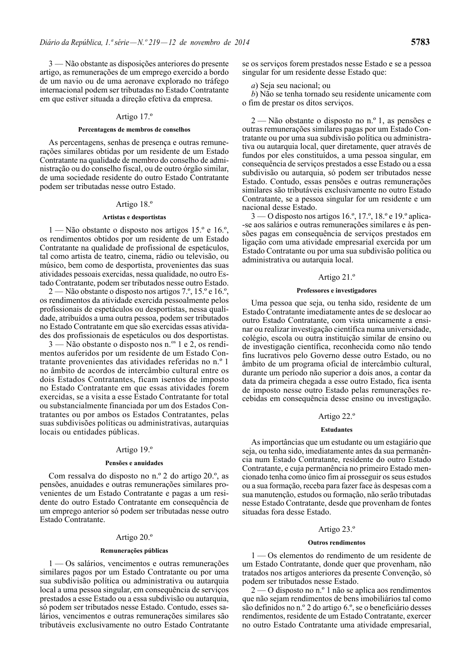3 — Não obstante as disposições anteriores do presente artigo, as remunerações de um emprego exercido a bordo de um navio ou de uma aeronave explorado no tráfego internacional podem ser tributadas no Estado Contratante em que estiver situada a direção efetiva da empresa.

### Artigo 17.º

### **Percentagens de membros de conselhos**

As percentagens, senhas de presença e outras remunerações similares obtidas por um residente de um Estado Contratante na qualidade de membro do conselho de administração ou do conselho fiscal, ou de outro órgão similar, de uma sociedade residente do outro Estado Contratante podem ser tributadas nesse outro Estado.

### Artigo 18.º

### **Artistas e desportistas**

1 — Não obstante o disposto nos artigos 15.º e 16.º, os rendimentos obtidos por um residente de um Estado Contratante na qualidade de profissional de espetáculos, tal como artista de teatro, cinema, rádio ou televisão, ou músico, bem como de desportista, provenientes das suas atividades pessoais exercidas, nessa qualidade, no outro Estado Contratante, podem ser tributados nesse outro Estado.

2 — Não obstante o disposto nos artigos 7.º, 15.º e 16.º, os rendimentos da atividade exercida pessoalmente pelos profissionais de espetáculos ou desportistas, nessa qualidade, atribuídos a uma outra pessoa, podem ser tributados no Estado Contratante em que são exercidas essas atividades dos profissionais de espetáculos ou dos desportistas.

 $3 - N$ ão obstante o disposto nos n.<sup>os</sup> 1 e 2, os rendimentos auferidos por um residente de um Estado Contratante provenientes das atividades referidas no n.º 1 no âmbito de acordos de intercâmbio cultural entre os dois Estados Contratantes, ficam isentos de imposto no Estado Contratante em que essas atividades forem exercidas, se a visita a esse Estado Contratante for total ou substancialmente financiada por um dos Estados Contratantes ou por ambos os Estados Contratantes, pelas suas subdivisões políticas ou administrativas, autarquias locais ou entidades públicas.

# Artigo 19.º

### **Pensões e anuidades**

Com ressalva do disposto no n.º 2 do artigo 20.º, as pensões, anuidades e outras remunerações similares provenientes de um Estado Contratante e pagas a um residente do outro Estado Contratante em consequência de um emprego anterior só podem ser tributadas nesse outro Estado Contratante.

# Artigo 20.º

### **Remunerações públicas**

1 — Os salários, vencimentos e outras remunerações similares pagos por um Estado Contratante ou por uma sua subdivisão política ou administrativa ou autarquia local a uma pessoa singular, em consequência de serviços prestados a esse Estado ou a essa subdivisão ou autarquia, só podem ser tributados nesse Estado. Contudo, esses salários, vencimentos e outras remunerações similares são tributáveis exclusivamente no outro Estado Contratante *a*) Seja seu nacional; ou

*b*) Não se tenha tornado seu residente unicamente com o fim de prestar os ditos serviços.

2 — Não obstante o disposto no n.º 1, as pensões e outras remunerações similares pagas por um Estado Contratante ou por uma sua subdivisão política ou administrativa ou autarquia local, quer diretamente, quer através de fundos por eles constituídos, a uma pessoa singular, em consequência de serviços prestados a esse Estado ou a essa subdivisão ou autarquia, só podem ser tributados nesse Estado. Contudo, essas pensões e outras remunerações similares são tributáveis exclusivamente no outro Estado Contratante, se a pessoa singular for um residente e um nacional desse Estado.

3 — O disposto nos artigos 16.º, 17.º, 18.º e 19.º aplica- -se aos salários e outras remunerações similares e às pensões pagas em consequência de serviços prestados em ligação com uma atividade empresarial exercida por um Estado Contratante ou por uma sua subdivisão política ou administrativa ou autarquia local.

# Artigo 21.º

#### **Professores e investigadores**

Uma pessoa que seja, ou tenha sido, residente de um Estado Contratante imediatamente antes de se deslocar ao outro Estado Contratante, com vista unicamente a ensinar ou realizar investigação científica numa universidade, colégio, escola ou outra instituição similar de ensino ou de investigação científica, reconhecida como não tendo fins lucrativos pelo Governo desse outro Estado, ou no âmbito de um programa oficial de intercâmbio cultural, durante um período não superior a dois anos, a contar da data da primeira chegada a esse outro Estado, fica isenta de imposto nesse outro Estado pelas remunerações recebidas em consequência desse ensino ou investigação.

# Artigo 22.º

# **Estudantes**

As importâncias que um estudante ou um estagiário que seja, ou tenha sido, imediatamente antes da sua permanência num Estado Contratante, residente do outro Estado Contratante, e cuja permanência no primeiro Estado mencionado tenha como único fim aí prosseguir os seus estudos ou a sua formação, receba para fazer face às despesas com a sua manutenção, estudos ou formação, não serão tributadas nesse Estado Contratante, desde que provenham de fontes situadas fora desse Estado.

### Artigo 23.º

## **Outros rendimentos**

1 — Os elementos do rendimento de um residente de um Estado Contratante, donde quer que provenham, não tratados nos artigos anteriores da presente Convenção, só podem ser tributados nesse Estado.

2 — O disposto no n.º 1 não se aplica aos rendimentos que não sejam rendimentos de bens imobiliários tal como são definidos no n.º 2 do artigo 6.º, se o beneficiário desses rendimentos, residente de um Estado Contratante, exercer no outro Estado Contratante uma atividade empresarial,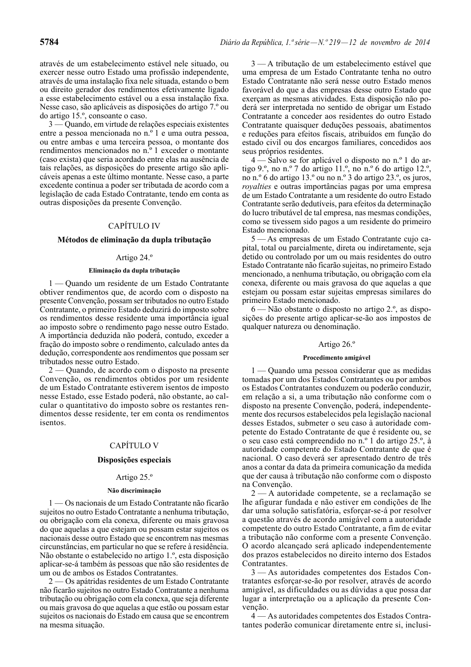através de um estabelecimento estável nele situado, ou exercer nesse outro Estado uma profissão independente, através de uma instalação fixa nele situada, estando o bem ou direito gerador dos rendimentos efetivamente ligado a esse estabelecimento estável ou a essa instalação fixa. Nesse caso, são aplicáveis as disposições do artigo 7.º ou do artigo 15.º, consoante o caso.

3 — Quando, em virtude de relações especiais existentes entre a pessoa mencionada no n.º 1 e uma outra pessoa, ou entre ambas e uma terceira pessoa, o montante dos rendimentos mencionados no n.º 1 exceder o montante (caso exista) que seria acordado entre elas na ausência de tais relações, as disposições do presente artigo são aplicáveis apenas a este último montante. Nesse caso, a parte excedente continua a poder ser tributada de acordo com a legislação de cada Estado Contratante, tendo em conta as outras disposições da presente Convenção.

# CAPÍTULO IV

# **Métodos de eliminação da dupla tributação**

# Artigo 24.º

### **Eliminação da dupla tributação**

1 — Quando um residente de um Estado Contratante obtiver rendimentos que, de acordo com o disposto na presente Convenção, possam ser tributados no outro Estado Contratante, o primeiro Estado deduzirá do imposto sobre os rendimentos desse residente uma importância igual ao imposto sobre o rendimento pago nesse outro Estado. A importância deduzida não poderá, contudo, exceder a fração do imposto sobre o rendimento, calculado antes da dedução, correspondente aos rendimentos que possam ser tributados nesse outro Estado.

2 — Quando, de acordo com o disposto na presente Convenção, os rendimentos obtidos por um residente de um Estado Contratante estiverem isentos de imposto nesse Estado, esse Estado poderá, não obstante, ao calcular o quantitativo do imposto sobre os restantes rendimentos desse residente, ter em conta os rendimentos isentos.

# CAPÍTULO V

# **Disposições especiais**

### Artigo 25.º

### **Não discriminação**

1 — Os nacionais de um Estado Contratante não ficarão sujeitos no outro Estado Contratante a nenhuma tributação, ou obrigação com ela conexa, diferente ou mais gravosa do que aquelas a que estejam ou possam estar sujeitos os nacionais desse outro Estado que se encontrem nas mesmas circunstâncias, em particular no que se refere à residência. Não obstante o estabelecido no artigo 1.º, esta disposição aplicar -se -á também às pessoas que não são residentes de um ou de ambos os Estados Contratantes.

2 — Os apátridas residentes de um Estado Contratante não ficarão sujeitos no outro Estado Contratante a nenhuma tributação ou obrigação com ela conexa, que seja diferente ou mais gravosa do que aquelas a que estão ou possam estar sujeitos os nacionais do Estado em causa que se encontrem na mesma situação.

3 — A tributação de um estabelecimento estável que uma empresa de um Estado Contratante tenha no outro Estado Contratante não será nesse outro Estado menos favorável do que a das empresas desse outro Estado que exerçam as mesmas atividades. Esta disposição não poderá ser interpretada no sentido de obrigar um Estado Contratante a conceder aos residentes do outro Estado Contratante quaisquer deduções pessoais, abatimentos e reduções para efeitos fiscais, atribuídos em função do estado civil ou dos encargos familiares, concedidos aos seus próprios residentes.

4 — Salvo se for aplicável o disposto no n.º 1 do artigo 9.º, no n.º 7 do artigo 11.º, no n.º 6 do artigo 12.º, no n.º 6 do artigo 13.º ou no n.º 3 do artigo 23.º, os juros, *royalties* e outras importâncias pagas por uma empresa de um Estado Contratante a um residente do outro Estado Contratante serão dedutíveis, para efeitos da determinação do lucro tributável de tal empresa, nas mesmas condições, como se tivessem sido pagos a um residente do primeiro Estado mencionado.

5 — As empresas de um Estado Contratante cujo capital, total ou parcialmente, direta ou indiretamente, seja detido ou controlado por um ou mais residentes do outro Estado Contratante não ficarão sujeitas, no primeiro Estado mencionado, a nenhuma tributação, ou obrigação com ela conexa, diferente ou mais gravosa do que aquelas a que estejam ou possam estar sujeitas empresas similares do primeiro Estado mencionado.

6 — Não obstante o disposto no artigo 2.º, as disposições do presente artigo aplicar -se -ão aos impostos de qualquer natureza ou denominação.

# Artigo 26.º

#### **Procedimento amigável**

1 — Quando uma pessoa considerar que as medidas tomadas por um dos Estados Contratantes ou por ambos os Estados Contratantes conduzem ou poderão conduzir, em relação a si, a uma tributação não conforme com o disposto na presente Convenção, poderá, independentemente dos recursos estabelecidos pela legislação nacional desses Estados, submeter o seu caso à autoridade competente do Estado Contratante de que é residente ou, se o seu caso está compreendido no n.º 1 do artigo 25.º, à autoridade competente do Estado Contratante de que é nacional. O caso deverá ser apresentado dentro de três anos a contar da data da primeira comunicação da medida que der causa à tributação não conforme com o disposto na Convenção.

2 — A autoridade competente, se a reclamação se lhe afigurar fundada e não estiver em condições de lhe dar uma solução satisfatória, esforçar -se -á por resolver a questão através de acordo amigável com a autoridade competente do outro Estado Contratante, a fim de evitar a tributação não conforme com a presente Convenção. O acordo alcançado será aplicado independentemente dos prazos estabelecidos no direito interno dos Estados Contratantes.

3 — As autoridades competentes dos Estados Contratantes esforçar -se -ão por resolver, através de acordo amigável, as dificuldades ou as dúvidas a que possa dar lugar a interpretação ou a aplicação da presente Convenção.

4 — As autoridades competentes dos Estados Contratantes poderão comunicar diretamente entre si, inclusi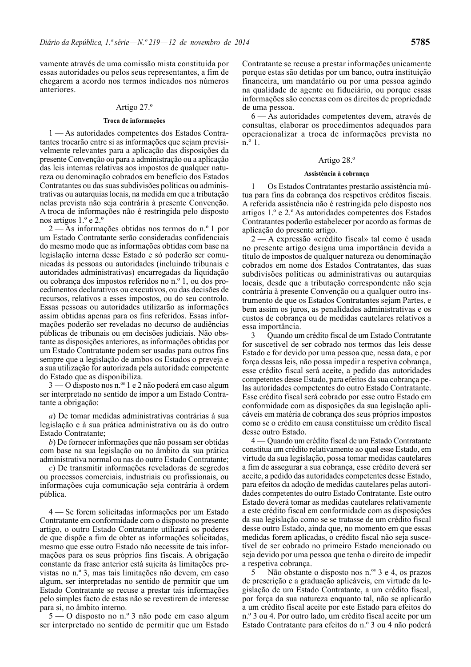vamente através de uma comissão mista constituída por essas autoridades ou pelos seus representantes, a fim de chegarem a acordo nos termos indicados nos números anteriores.

### Artigo 27.º

### **Troca de informações**

1 — As autoridades competentes dos Estados Contratantes trocarão entre si as informações que sejam previsivelmente relevantes para a aplicação das disposições da presente Convenção ou para a administração ou a aplicação das leis internas relativas aos impostos de qualquer natureza ou denominação cobrados em benefício dos Estados Contratantes ou das suas subdivisões políticas ou administrativas ou autarquias locais, na medida em que a tributação nelas prevista não seja contrária à presente Convenção. A troca de informações não é restringida pelo disposto nos artigos 1.º e 2.º

2 — As informações obtidas nos termos do n.º 1 por um Estado Contratante serão consideradas confidenciais do mesmo modo que as informações obtidas com base na legislação interna desse Estado e só poderão ser comunicadas às pessoas ou autoridades (incluindo tribunais e autoridades administrativas) encarregadas da liquidação ou cobrança dos impostos referidos no n.º 1, ou dos procedimentos declarativos ou executivos, ou das decisões de recursos, relativos a esses impostos, ou do seu controlo. Essas pessoas ou autoridades utilizarão as informações assim obtidas apenas para os fins referidos. Essas informações poderão ser reveladas no decurso de audiências públicas de tribunais ou em decisões judiciais. Não obstante as disposições anteriores, as informações obtidas por um Estado Contratante podem ser usadas para outros fins sempre que a legislação de ambos os Estados o preveja e a sua utilização for autorizada pela autoridade competente do Estado que as disponibiliza.

 $3 - 0$  disposto nos n.<sup>os</sup> 1 e 2 não poderá em caso algum ser interpretado no sentido de impor a um Estado Contratante a obrigação:

*a*) De tomar medidas administrativas contrárias à sua legislação e à sua prática administrativa ou às do outro Estado Contratante;

*b*) De fornecer informações que não possam ser obtidas com base na sua legislação ou no âmbito da sua prática administrativa normal ou nas do outro Estado Contratante;

*c*) De transmitir informações reveladoras de segredos ou processos comerciais, industriais ou profissionais, ou informações cuja comunicação seja contrária à ordem pública.

4 — Se forem solicitadas informações por um Estado Contratante em conformidade com o disposto no presente artigo, o outro Estado Contratante utilizará os poderes de que dispõe a fim de obter as informações solicitadas, mesmo que esse outro Estado não necessite de tais informações para os seus próprios fins fiscais. A obrigação constante da frase anterior está sujeita às limitações previstas no n.º 3, mas tais limitações não devem, em caso algum, ser interpretadas no sentido de permitir que um Estado Contratante se recuse a prestar tais informações pelo simples facto de estas não se revestirem de interesse para si, no âmbito interno.

5 — O disposto no n.º 3 não pode em caso algum ser interpretado no sentido de permitir que um Estado Contratante se recuse a prestar informações unicamente porque estas são detidas por um banco, outra instituição financeira, um mandatário ou por uma pessoa agindo na qualidade de agente ou fiduciário, ou porque essas informações são conexas com os direitos de propriedade de uma pessoa.

6 — As autoridades competentes devem, através de consultas, elaborar os procedimentos adequados para operacionalizar a troca de informações prevista no n.º 1.

# Artigo 28.º

### **Assistência à cobrança**

1 — Os Estados Contratantes prestarão assistência mútua para fins da cobrança dos respetivos créditos fiscais. A referida assistência não é restringida pelo disposto nos artigos 1.º e 2.º As autoridades competentes dos Estados Contratantes poderão estabelecer por acordo as formas de aplicação do presente artigo.

2 — A expressão «crédito fiscal» tal como é usada no presente artigo designa uma importância devida a título de impostos de qualquer natureza ou denominação cobrados em nome dos Estados Contratantes, das suas subdivisões políticas ou administrativas ou autarquias locais, desde que a tributação correspondente não seja contrária à presente Convenção ou a qualquer outro instrumento de que os Estados Contratantes sejam Partes, e bem assim os juros, as penalidades administrativas e os custos de cobrança ou de medidas cautelares relativos a essa importância.

3 — Quando um crédito fiscal de um Estado Contratante for suscetível de ser cobrado nos termos das leis desse Estado e for devido por uma pessoa que, nessa data, e por força dessas leis, não possa impedir a respetiva cobrança, esse crédito fiscal será aceite, a pedido das autoridades competentes desse Estado, para efeitos da sua cobrança pelas autoridades competentes do outro Estado Contratante. Esse crédito fiscal será cobrado por esse outro Estado em conformidade com as disposições da sua legislação aplicáveis em matéria de cobrança dos seus próprios impostos como se o crédito em causa constituísse um crédito fiscal desse outro Estado.

4 — Quando um crédito fiscal de um Estado Contratante constitua um crédito relativamente ao qual esse Estado, em virtude da sua legislação, possa tomar medidas cautelares a fim de assegurar a sua cobrança, esse crédito deverá ser aceite, a pedido das autoridades competentes desse Estado, para efeitos da adoção de medidas cautelares pelas autoridades competentes do outro Estado Contratante. Este outro Estado deverá tomar as medidas cautelares relativamente a este crédito fiscal em conformidade com as disposições da sua legislação como se se tratasse de um crédito fiscal desse outro Estado, ainda que, no momento em que essas medidas forem aplicadas, o crédito fiscal não seja suscetível de ser cobrado no primeiro Estado mencionado ou seja devido por uma pessoa que tenha o direito de impedir a respetiva cobrança.

 $5 -$ Não obstante o disposto nos n.<sup>os</sup> 3 e 4, os prazos de prescrição e a graduação aplicáveis, em virtude da legislação de um Estado Contratante, a um crédito fiscal, por força da sua natureza enquanto tal, não se aplicarão a um crédito fiscal aceite por este Estado para efeitos do n.º 3 ou 4. Por outro lado, um crédito fiscal aceite por um Estado Contratante para efeitos do n.º 3 ou 4 não poderá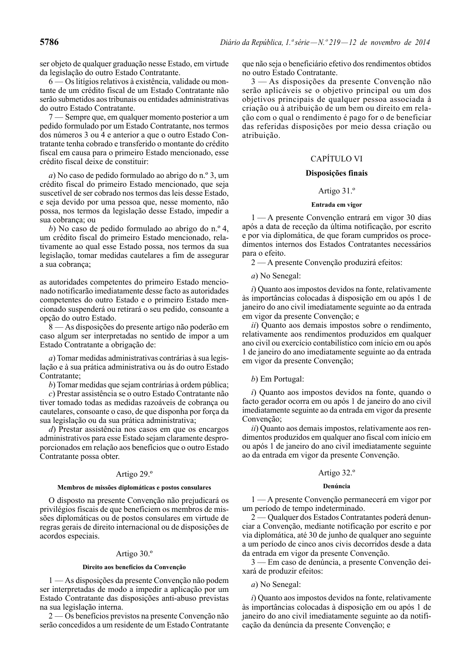6 — Os litígios relativos à existência, validade ou montante de um crédito fiscal de um Estado Contratante não serão submetidos aos tribunais ou entidades administrativas do outro Estado Contratante.

7 — Sempre que, em qualquer momento posterior a um pedido formulado por um Estado Contratante, nos termos dos números 3 ou 4 e anterior a que o outro Estado Contratante tenha cobrado e transferido o montante do crédito fiscal em causa para o primeiro Estado mencionado, esse crédito fiscal deixe de constituir:

*a*) No caso de pedido formulado ao abrigo do n.º 3, um crédito fiscal do primeiro Estado mencionado, que seja suscetível de ser cobrado nos termos das leis desse Estado, e seja devido por uma pessoa que, nesse momento, não possa, nos termos da legislação desse Estado, impedir a sua cobrança; ou

*b*) No caso de pedido formulado ao abrigo do n.º 4, um crédito fiscal do primeiro Estado mencionado, relativamente ao qual esse Estado possa, nos termos da sua legislação, tomar medidas cautelares a fim de assegurar a sua cobrança;

as autoridades competentes do primeiro Estado mencionado notificarão imediatamente desse facto as autoridades competentes do outro Estado e o primeiro Estado mencionado suspenderá ou retirará o seu pedido, consoante a opção do outro Estado.

8 — As disposições do presente artigo não poderão em caso algum ser interpretadas no sentido de impor a um Estado Contratante a obrigação de:

*a*) Tomar medidas administrativas contrárias à sua legislação e à sua prática administrativa ou às do outro Estado Contratante;

*b*) Tomar medidas que sejam contrárias à ordem pública;

*c*) Prestar assistência se o outro Estado Contratante não tiver tomado todas as medidas razoáveis de cobrança ou cautelares, consoante o caso, de que disponha por força da sua legislação ou da sua prática administrativa;

*d*) Prestar assistência nos casos em que os encargos administrativos para esse Estado sejam claramente desproporcionados em relação aos benefícios que o outro Estado Contratante possa obter.

# Artigo 29.º

# **Membros de missões diplomáticas e postos consulares**

O disposto na presente Convenção não prejudicará os privilégios fiscais de que beneficiem os membros de missões diplomáticas ou de postos consulares em virtude de regras gerais de direito internacional ou de disposições de acordos especiais.

# Artigo 30.º

# **Direito aos benefícios da Convenção**

1 — As disposições da presente Convenção não podem ser interpretadas de modo a impedir a aplicação por um Estado Contratante das disposições anti -abuso previstas na sua legislação interna.

2 — Os benefícios previstos na presente Convenção não serão concedidos a um residente de um Estado Contratante que não seja o beneficiário efetivo dos rendimentos obtidos no outro Estado Contratante.

3 — As disposições da presente Convenção não serão aplicáveis se o objetivo principal ou um dos objetivos principais de qualquer pessoa associada à criação ou à atribuição de um bem ou direito em relação com o qual o rendimento é pago for o de beneficiar das referidas disposições por meio dessa criação ou atribuição.

# CAPÍTULO VI

# **Disposições finais**

# Artigo 31.º

# **Entrada em vigor**

1 — A presente Convenção entrará em vigor 30 dias após a data de receção da última notificação, por escrito e por via diplomática, de que foram cumpridos os procedimentos internos dos Estados Contratantes necessários para o efeito.

2 — A presente Convenção produzirá efeitos:

*a*) No Senegal:

*i*) Quanto aos impostos devidos na fonte, relativamente às importâncias colocadas à disposição em ou após 1 de janeiro do ano civil imediatamente seguinte ao da entrada em vigor da presente Convenção; e

*ii*) Quanto aos demais impostos sobre o rendimento, relativamente aos rendimentos produzidos em qualquer ano civil ou exercício contabilístico com início em ou após 1 de janeiro do ano imediatamente seguinte ao da entrada em vigor da presente Convenção;

*b*) Em Portugal:

*i*) Quanto aos impostos devidos na fonte, quando o facto gerador ocorra em ou após 1 de janeiro do ano civil imediatamente seguinte ao da entrada em vigor da presente Convenção;

*ii*) Quanto aos demais impostos, relativamente aos rendimentos produzidos em qualquer ano fiscal com início em ou após 1 de janeiro do ano civil imediatamente seguinte ao da entrada em vigor da presente Convenção.

# Artigo 32.º

# **Denúncia**

1 — A presente Convenção permanecerá em vigor por um período de tempo indeterminado.

2 — Qualquer dos Estados Contratantes poderá denunciar a Convenção, mediante notificação por escrito e por via diplomática, até 30 de junho de qualquer ano seguinte a um período de cinco anos civis decorridos desde a data da entrada em vigor da presente Convenção.

3 — Em caso de denúncia, a presente Convenção deixará de produzir efeitos:

# *a*) No Senegal:

*i*) Quanto aos impostos devidos na fonte, relativamente às importâncias colocadas à disposição em ou após 1 de janeiro do ano civil imediatamente seguinte ao da notificação da denúncia da presente Convenção; e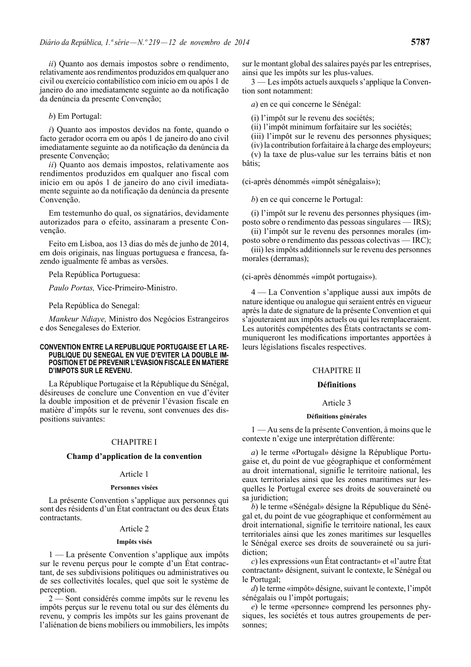*ii*) Quanto aos demais impostos sobre o rendimento, relativamente aos rendimentos produzidos em qualquer ano civil ou exercício contabilístico com início em ou após 1 de janeiro do ano imediatamente seguinte ao da notificação da denúncia da presente Convenção;

*b*) Em Portugal:

*i*) Quanto aos impostos devidos na fonte, quando o facto gerador ocorra em ou após 1 de janeiro do ano civil imediatamente seguinte ao da notificação da denúncia da presente Convenção;

*ii*) Quanto aos demais impostos, relativamente aos rendimentos produzidos em qualquer ano fiscal com início em ou após 1 de janeiro do ano civil imediatamente seguinte ao da notificação da denúncia da presente Convenção.

Em testemunho do qual, os signatários, devidamente autorizados para o efeito, assinaram a presente Convenção.

Feito em Lisboa, aos 13 dias do mês de junho de 2014, em dois originais, nas línguas portuguesa e francesa, fazendo igualmente fé ambas as versões.

Pela República Portuguesa:

*Paulo Portas,* Vice -Primeiro -Ministro.

Pela República do Senegal:

*Mankeur Ndiaye,* Ministro dos Negócios Estrangeiros e dos Senegaleses do Exterior.

# **CONVENTION ENTRE LA REPUBLIQUE PORTUGAISE ET LA RE-PUBLIQUE DU SENEGAL EN VUE D'EVITER LA DOUBLE IM-POSITION ET DE PREVENIR L'EVASION FISCALE EN MATIERE D'IMPOTS SUR LE REVENU.**

La République Portugaise et la République du Sénégal, désireuses de conclure une Convention en vue d'éviter la double imposition et de prévenir l'évasion fiscale en matière d'impôts sur le revenu, sont convenues des dispositions suivantes:

# CHAPITRE I

# **Champ d'application de la convention**

# Article 1

# **Personnes visées**

La présente Convention s'applique aux personnes qui sont des résidents d'un État contractant ou des deux États contractants.

# Article 2

# **Impôts visés**

1 — La présente Convention s'applique aux impôts sur le revenu perçus pour le compte d'un État contractant, de ses subdivisions politiques ou administratives ou de ses collectivités locales, quel que soit le système de perception.

2 — Sont considérés comme impôts sur le revenu les impôts perçus sur le revenu total ou sur des éléments du revenu, y compris les impôts sur les gains provenant de l'aliénation de biens mobiliers ou immobiliers, les impôts sur le montant global des salaires payés par les entreprises, ainsi que les impôts sur les plus -values.

3 — Les impôts actuels auxquels s'applique la Convention sont notamment:

*a*) en ce qui concerne le Sénégal:

(i) l'impôt sur le revenu des sociétés;

(ii) l'impôt minimum forfaitaire sur les sociétés;

(iii) l'impôt sur le revenu des personnes physiques;

(iv) la contribution forfaitaire à la charge des employeurs; (v) la taxe de plus -value sur les terrains bâtis et non

bâtis;

(ci -après dénommés «impôt sénégalais»);

*b*) en ce qui concerne le Portugal:

(i) l'impôt sur le revenu des personnes physiques (imposto sobre o rendimento das pessoas singulares — IRS);

(ii) l'impôt sur le revenu des personnes morales (imposto sobre o rendimento das pessoas colectivas — IRC);

(iii) les impôts additionnels sur le revenu des personnes morales (derramas);

(ci -après dénommés «impôt portugais»).

4 — La Convention s'applique aussi aux impôts de nature identique ou analogue qui seraient entrés en vigueur après la date de signature de la présente Convention et qui s'ajouteraient aux impôts actuels ou qui les remplaceraient. Les autorités compétentes des États contractants se communiqueront les modifications importantes apportées à leurs législations fiscales respectives.

# CHAPITRE II

# **Définitions**

# Article 3

### **Définitions générales**

1 — Au sens de la présente Convention, à moins que le contexte n'exige une interprétation différente:

*a*) le terme «Portugal» désigne la République Portugaise et, du point de vue géographique et conformément au droit international, signifie le territoire national, les eaux territoriales ainsi que les zones maritimes sur lesquelles le Portugal exerce ses droits de souveraineté ou sa juridiction;

*b*) le terme «Sénégal» désigne la République du Sénégal et, du point de vue géographique et conformément au droit international, signifie le territoire national, les eaux territoriales ainsi que les zones maritimes sur lesquelles le Sénégal exerce ses droits de souveraineté ou sa juridiction;

*c*) les expressions «un État contractant» et «l'autre État contractant» désignent, suivant le contexte, le Sénégal ou le Portugal;

*d*) le terme «impôt» désigne, suivant le contexte, l'impôt sénégalais ou l'impôt portugais;

*e*) le terme «personne» comprend les personnes physiques, les sociétés et tous autres groupements de personnes;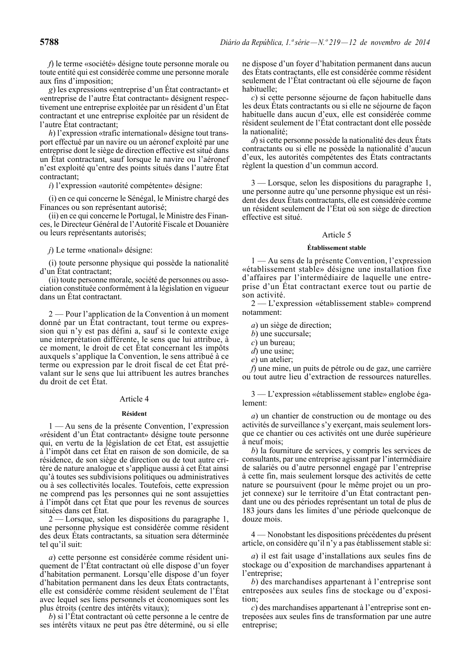*f*) le terme «société» désigne toute personne morale ou toute entité qui est considérée comme une personne morale aux fins d'imposition;

*g*) les expressions «entreprise d'un État contractant» et «entreprise de l'autre État contractant» désignent respectivement une entreprise exploitée par un résident d'un État contractant et une entreprise exploitée par un résident de l'autre État contractant;

*h*) l'expression «trafic international» désigne tout transport effectué par un navire ou un aéronef exploité par une entreprise dont le siège de direction effective est situé dans un État contractant, sauf lorsque le navire ou l'aéronef n'est exploité qu'entre des points situés dans l'autre État contractant;

*i*) l'expression «autorité compétente» désigne:

(i) en ce qui concerne le Sénégal, le Ministre chargé des Finances ou son représentant autorisé;

(ii) en ce qui concerne le Portugal, le Ministre des Finances, le Directeur Général de l'Autorité Fiscale et Douanière ou leurs représentants autorisés;

### *j*) Le terme «national» désigne:

(i) toute personne physique qui possède la nationalité d'un État contractant;

(ii) toute personne morale, société de personnes ou association constituée conformément à la législation en vigueur dans un État contractant.

2 — Pour l'application de la Convention à un moment donné par un État contractant, tout terme ou expression qui n'y est pas défini a, sauf si le contexte exige une interprétation différente, le sens que lui attribue, à ce moment, le droit de cet État concernant les impôts auxquels s'applique la Convention, le sens attribué à ce terme ou expression par le droit fiscal de cet État prévalant sur le sens que lui attribuent les autres branches du droit de cet État.

### Article 4

#### **Résident**

1 — Au sens de la présente Convention, l'expression «résident d'un État contractant» désigne toute personne qui, en vertu de la législation de cet État, est assujettie à l'impôt dans cet État en raison de son domicile, de sa résidence, de son siège de direction ou de tout autre critère de nature analogue et s'applique aussi à cet État ainsi qu'à toutes ses subdivisions politiques ou administratives ou à ses collectivités locales. Toutefois, cette expression ne comprend pas les personnes qui ne sont assujetties à l'impôt dans cet État que pour les revenus de sources situées dans cet État.

2 — Lorsque, selon les dispositions du paragraphe 1, une personne physique est considérée comme résident des deux États contractants, sa situation sera déterminée tel qu'il suit:

*a*) cette personne est considérée comme résident uniquement de l'État contractant où elle dispose d'un foyer d'habitation permanent. Lorsqu'elle dispose d'un foyer d'habitation permanent dans les deux États contractants, elle est considérée comme résident seulement de l'État avec lequel ses liens personnels et économiques sont les plus étroits (centre des intérêts vitaux);

*b*) si l'État contractant où cette personne a le centre de ses intérêts vitaux ne peut pas être déterminé, ou si elle ne dispose d'un foyer d'habitation permanent dans aucun des États contractants, elle est considérée comme résident seulement de l'État contractant où elle séjourne de façon habituelle;

*c*) si cette personne séjourne de façon habituelle dans les deux États contractants ou si elle ne séjourne de façon habituelle dans aucun d'eux, elle est considérée comme résident seulement de l'État contractant dont elle possède la nationalité;

*d*) si cette personne possède la nationalité des deux États contractants ou si elle ne possède la nationalité d'aucun d'eux, les autorités compétentes des États contractants règlent la question d'un commun accord.

3 — Lorsque, selon les dispositions du paragraphe 1, une personne autre qu'une personne physique est un résident des deux États contractants, elle est considérée comme un résident seulement de l'État où son siège de direction effective est situé.

#### Article 5

### **Établissement stable**

1 — Au sens de la présente Convention, l'expression «établissement stable» désigne une installation fixe d'affaires par l'intermédiaire de laquelle une entreprise d'un État contractant exerce tout ou partie de son activité.

2 — L'expression «établissement stable» comprend notamment:

- *a*) un siège de direction;
- *b*) une succursale;
- *c*) un bureau;
- *d*) une usine;
- *e*) un atelier;

*f*) une mine, un puits de pétrole ou de gaz, une carrière ou tout autre lieu d'extraction de ressources naturelles.

3 — L'expression «établissement stable» englobe également:

*a*) un chantier de construction ou de montage ou des activités de surveillance s'y exerçant, mais seulement lorsque ce chantier ou ces activités ont une durée supérieure à neuf mois;

*b*) la fourniture de services, y compris les services de consultants, par une entreprise agissant par l'intermédiaire de salariés ou d'autre personnel engagé par l'entreprise à cette fin, mais seulement lorsque des activités de cette nature se poursuivent (pour le même projet ou un projet connexe) sur le territoire d'un État contractant pendant une ou des périodes représentant un total de plus de 183 jours dans les limites d'une période quelconque de douze mois.

4 — Nonobstant les dispositions précédentes du présent article, on considère qu'il n'y a pas établissement stable si:

*a*) il est fait usage d'installations aux seules fins de stockage ou d'exposition de marchandises appartenant à l'entreprise;

*b*) des marchandises appartenant à l'entreprise sont entreposées aux seules fins de stockage ou d'exposition;

*c*) des marchandises appartenant à l'entreprise sont entreposées aux seules fins de transformation par une autre entreprise;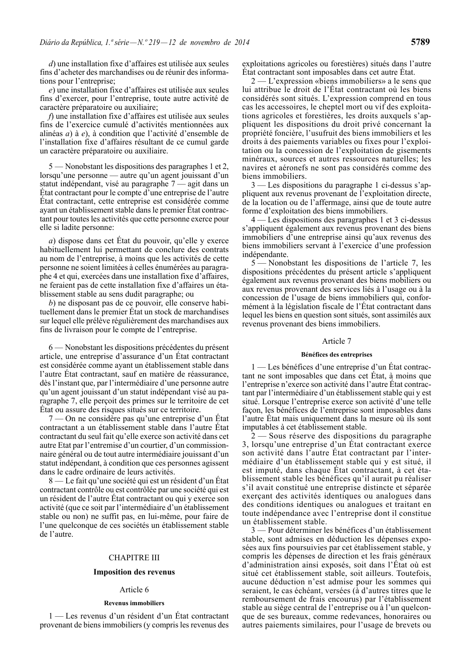*d*) une installation fixe d'affaires est utilisée aux seules fins d'acheter des marchandises ou de réunir des informations pour l'entreprise;

*e*) une installation fixe d'affaires est utilisée aux seules fins d'exercer, pour l'entreprise, toute autre activité de caractère préparatoire ou auxiliaire;

*f*) une installation fixe d'affaires est utilisée aux seules fins de l'exercice cumulé d'activités mentionnées aux alinéas *a*) à *e*), à condition que l'activité d'ensemble de l'installation fixe d'affaires résultant de ce cumul garde un caractère préparatoire ou auxiliaire.

5 — Nonobstant les dispositions des paragraphes 1 et 2, lorsqu'une personne — autre qu'un agent jouissant d'un statut indépendant, visé au paragraphe 7 — agit dans un État contractant pour le compte d'une entreprise de l'autre État contractant, cette entreprise est considérée comme ayant un établissement stable dans le premier État contractant pour toutes les activités que cette personne exerce pour elle si ladite personne:

*a*) dispose dans cet État du pouvoir, qu'elle y exerce habituellement lui permettant de conclure des contrats au nom de l'entreprise, à moins que les activités de cette personne ne soient limitées à celles énumérées au paragraphe 4 et qui, exercées dans une installation fixe d'affaires, ne feraient pas de cette installation fixe d'affaires un établissement stable au sens dudit paragraphe; ou

*b*) ne disposant pas de ce pouvoir, elle conserve habituellement dans le premier État un stock de marchandises sur lequel elle prélève régulièrement des marchandises aux fins de livraison pour le compte de l'entreprise.

6 — Nonobstant les dispositions précédentes du présent article, une entreprise d'assurance d'un État contractant est considérée comme ayant un établissement stable dans l'autre État contractant, sauf en matière de réassurance, dès l'instant que, par l'intermédiaire d'une personne autre qu'un agent jouissant d'un statut indépendant visé au paragraphe 7, elle perçoit des primes sur le territoire de cet État ou assure des risques situés sur ce territoire.

7 — On ne considère pas qu'une entreprise d'un État contractant a un établissement stable dans l'autre État contractant du seul fait qu'elle exerce son activité dans cet autre Etat par l'entremise d'un courtier, d'un commissionnaire général ou de tout autre intermédiaire jouissant d'un statut indépendant, à condition que ces personnes agissent dans le cadre ordinaire de leurs activités.

8 — Le fait qu'une société qui est un résident d'un État contractant contrôle ou est contrôlée par une société qui est un résident de l'autre État contractant ou qui y exerce son activité (que ce soit par l'intermédiaire d'un établissement stable ou non) ne suffit pas, en lui-même, pour faire de l'une quelconque de ces sociétés un établissement stable de l'autre.

# CHAPITRE III

# **Imposition des revenus**

# Article 6

### **Revenus immobiliers**

1 — Les revenus d'un résident d'un État contractant provenant de biens immobiliers (y compris les revenus des exploitations agricoles ou forestières) situés dans l'autre État contractant sont imposables dans cet autre État.

2 — L'expression «biens immobiliers» a le sens que lui attribue le droit de l'État contractant où les biens considérés sont situés. L'expression comprend en tous cas les accessoires, le cheptel mort ou vif des exploitations agricoles et forestières, les droits auxquels s'appliquent les dispositions du droit privé concernant la propriété foncière, l'usufruit des biens immobiliers et les droits à des paiements variables ou fixes pour l'exploitation ou la concession de l'exploitation de gisements minéraux, sources et autres ressources naturelles; les navires et aéronefs ne sont pas considérés comme des biens immobiliers.

3 — Les dispositions du paragraphe 1 ci -dessus s'appliquent aux revenus provenant de l'exploitation directe, de la location ou de l'affermage, ainsi que de toute autre forme d'exploitation des biens immobiliers.

4 — Les dispositions des paragraphes 1 et 3 ci -dessus s'appliquent également aux revenus provenant des biens immobiliers d'une entreprise ainsi qu'aux revenus des biens immobiliers servant à l'exercice d'une profession indépendante.

5 — Nonobstant les dispositions de l'article 7, les dispositions précédentes du présent article s'appliquent également aux revenus provenant des biens mobiliers ou aux revenus provenant des services liés à l'usage ou à la concession de l'usage de biens immobiliers qui, conformément à la législation fiscale de l'État contractant dans lequel les biens en question sont situés, sont assimilés aux revenus provenant des biens immobiliers.

# Article 7

### **Bénéfices des entreprises**

1 — Les bénéfices d'une entreprise d'un État contractant ne sont imposables que dans cet État, à moins que l'entreprise n'exerce son activité dans l'autre État contractant par l'intermédiaire d'un établissement stable qui y est situé. Lorsque l'entreprise exerce son activité d'une telle façon, les bénéfices de l'entreprise sont imposables dans l'autre État mais uniquement dans la mesure où ils sont imputables à cet établissement stable.

2 — Sous réserve des dispositions du paragraphe 3, lorsqu'une entreprise d'un État contractant exerce son activité dans l'autre État contractant par l'intermédiaire d'un établissement stable qui y est situé, il est imputé, dans chaque État contractant, à cet établissement stable les bénéfices qu'il aurait pu réaliser s'il avait constitué une entreprise distincte et séparée exerçant des activités identiques ou analogues dans des conditions identiques ou analogues et traitant en toute indépendance avec l'entreprise dont il constitue un établissement stable.

3 — Pour déterminer les bénéfices d'un établissement stable, sont admises en déduction les dépenses exposées aux fins poursuivies par cet établissement stable, y compris les dépenses de direction et les frais généraux d'administration ainsi exposés, soit dans l'État où est situé cet établissement stable, soit ailleurs. Toutefois, aucune déduction n'est admise pour les sommes qui seraient, le cas échéant, versées (à d'autres titres que le remboursement de frais encourus) par l'établissement stable au siège central de l'entreprise ou à l'un quelconque de ses bureaux, comme redevances, honoraires ou autres paiements similaires, pour l'usage de brevets ou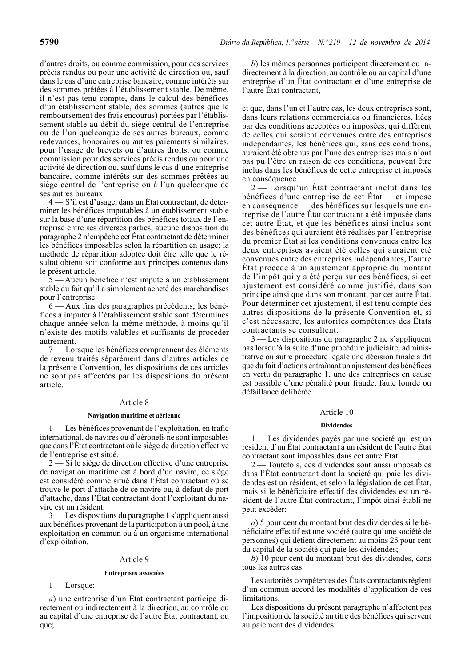d'autres droits, ou comme commission, pour des services précis rendus ou pour une activité de direction ou, sauf dans le cas d'une entreprise bancaire, comme intérêts sur des sommes prêtées à l'établissement stable. De même, il n'est pas tenu compte, dans le calcul des bénéfices d'un établissement stable, des sommes (autres que le remboursement des frais encourus) portées par l'établissement stable au débit du siège central de l'entreprise ou de l'un quelconque de ses autres bureaux, comme redevances, honoraires ou autres paiements similaires, pour l'usage de brevets ou d'autres droits, ou comme commission pour des services précis rendus ou pour une activité de direction ou, sauf dans le cas d'une entreprise bancaire, comme intérêts sur des sommes prêtées au siège central de l'entreprise ou à l'un quelconque de ses autres bureaux.

4 — S'il est d'usage, dans un État contractant, de déterminer les bénéfices imputables à un établissement stable sur la base d'une répartition des bénéfices totaux de l'entreprise entre ses diverses parties, aucune disposition du paragraphe 2 n'empêche cet État contractant de déterminer les bénéfices imposables selon la répartition en usage; la méthode de répartition adoptée doit être telle que le résultat obtenu soit conforme aux principes contenus dans le présent article.

5 — Aucun bénéfice n'est imputé à un établissement stable du fait qu'il a simplement acheté des marchandises pour l'entreprise.

6 — Aux fins des paragraphes précédents, les bénéfices à imputer à l'établissement stable sont déterminés chaque année selon la même méthode, à moins qu'il n'existe des motifs valables et suffisants de procéder autrement.

7 — Lorsque les bénéfices comprennent des éléments de revenu traités séparément dans d'autres articles de la présente Convention, les dispositions de ces articles ne sont pas affectées par les dispositions du présent article.

# Article 8

# **Navigation maritime et aérienne**

1 — Les bénéfices provenant de l'exploitation, en trafic international, de navires ou d'aéronefs ne sont imposables que dans l'État contractant où le siège de direction effective de l'entreprise est situé.

2 — Si le siège de direction effective d'une entreprise de navigation maritime est à bord d'un navire, ce siège est considéré comme situé dans l'État contractant où se trouve le port d'attache de ce navire ou, à défaut de port d'attache, dans l'État contractant dont l'exploitant du navire est un résident.

3 — Les dispositions du paragraphe 1 s'appliquent aussi aux bénéfices provenant de la participation à un pool, à une exploitation en commun ou à un organisme international d'exploitation.

# Article 9

#### **Entreprises associées**

 $1 -$ Lorsque:

*a*) une entreprise d'un État contractant participe directement ou indirectement à la direction, au contrôle ou au capital d'une entreprise de l'autre État contractant, ou que;

*b*) les mêmes personnes participent directement ou indirectement à la direction, au contrôle ou au capital d'une entreprise d'un État contractant et d'une entreprise de l'autre État contractant,

et que, dans l'un et l'autre cas, les deux entreprises sont, dans leurs relations commerciales ou financières, liées par des conditions acceptées ou imposées, qui diffèrent de celles qui seraient convenues entre des entreprises indépendantes, les bénéfices qui, sans ces conditions, auraient été obtenus par l'une des entreprises mais n'ont pas pu l'être en raison de ces conditions, peuvent être inclus dans les bénéfices de cette entreprise et imposés en conséquence.

2 — Lorsqu'un État contractant inclut dans les bénéfices d'une entreprise de cet État — et impose en conséquence — des bénéfices sur lesquels une entreprise de l'autre État contractant a été imposée dans cet autre État, et que les bénéfices ainsi inclus sont des bénéfices qui auraient été réalisés par l'entreprise du premier État si les conditions convenues entre les deux entreprises avaient été celles qui auraient été convenues entre des entreprises indépendantes, l'autre État procède à un ajustement approprié du montant de l'impôt qui y a été perçu sur ces bénéfices, si cet ajustement est considéré comme justifié, dans son principe ainsi que dans son montant, par cet autre État. Pour déterminer cet ajustement, il est tenu compte des autres dispositions de la présente Convention et, si c'est nécessaire, les autorités compétentes des États contractants se consultent.

3 — Les dispositions du paragraphe 2 ne s'appliquent pas lorsqu'à la suite d'une procédure judiciaire, administrative ou autre procédure légale une décision finale a dit que du fait d'actions entraînant un ajustement des bénéfices en vertu du paragraphe 1, une des entreprises en cause est passible d'une pénalité pour fraude, faute lourde ou défaillance délibérée.

# Article 10

# **Dividendes**

1 — Les dividendes payés par une société qui est un résident d'un État contractant à un résident de l'autre État contractant sont imposables dans cet autre État.

2 — Toutefois, ces dividendes sont aussi imposables dans l'État contractant dont la société qui paie les dividendes est un résident, et selon la législation de cet État, mais si le bénéficiaire effectif des dividendes est un résident de l'autre État contractant, l'impôt ainsi établi ne peut excéder:

*a*) 5 pour cent du montant brut des dividendes si le bénéficiaire effectif est une société (autre qu'une société de personnes) qui détient directement au moins 25 pour cent du capital de la société qui paie les dividendes;

*b*) 10 pour cent du montant brut des dividendes, dans tous les autres cas.

Les autorités compétentes des États contractants règlent d'un commun accord les modalités d'application de ces limitations.

Les dispositions du présent paragraphe n'affectent pas l'imposition de la société au titre des bénéfices qui servent au paiement des dividendes.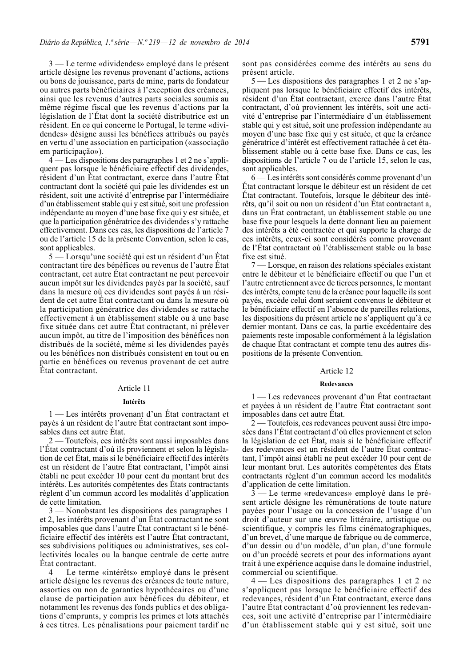3 — Le terme «dividendes» employé dans le présent article désigne les revenus provenant d'actions, actions ou bons de jouissance, parts de mine, parts de fondateur ou autres parts bénéficiaires à l'exception des créances, ainsi que les revenus d'autres parts sociales soumis au même régime fiscal que les revenus d'actions par la législation de l'État dont la société distributrice est un résident. En ce qui concerne le Portugal, le terme «dividendes» désigne aussi les bénéfices attribués ou payés en vertu d'une association en participation («associação em participação»).

4 — Les dispositions des paragraphes 1 et 2 ne s'appliquent pas lorsque le bénéficiaire effectif des dividendes, résident d'un État contractant, exerce dans l'autre État contractant dont la société qui paie les dividendes est un résident, soit une activité d'entreprise par l'intermédiaire d'un établissement stable qui y est situé, soit une profession indépendante au moyen d'une base fixe qui y est située, et que la participation génératrice des dividendes s'y rattache effectivement. Dans ces cas, les dispositions de l'article 7 ou de l'article 15 de la présente Convention, selon le cas, sont applicables.

5 — Lorsqu'une société qui est un résident d'un État contractant tire des bénéfices ou revenus de l'autre État contractant, cet autre État contractant ne peut percevoir aucun impôt sur les dividendes payés par la société, sauf dans la mesure où ces dividendes sont payés à un résident de cet autre État contractant ou dans la mesure où la participation génératrice des dividendes se rattache effectivement à un établissement stable ou à une base fixe située dans cet autre État contractant, ni prélever aucun impôt, au titre de l'imposition des bénéfices non distribués de la société, même si les dividendes payés ou les bénéfices non distribués consistent en tout ou en partie en bénéfices ou revenus provenant de cet autre État contractant.

# Article 11

#### **Intérêts**

1 — Les intérêts provenant d'un État contractant et payés à un résident de l'autre État contractant sont imposables dans cet autre État.

2 — Toutefois, ces intérêts sont aussi imposables dans l'État contractant d'où ils proviennent et selon la législation de cet État, mais si le bénéficiaire effectif des intérêts est un résident de l'autre État contractant, l'impôt ainsi établi ne peut excéder 10 pour cent du montant brut des intérêts. Les autorités compétentes des États contractants règlent d'un commun accord les modalités d'application de cette limitation.

3 — Nonobstant les dispositions des paragraphes 1 et 2, les intérêts provenant d'un État contractant ne sont imposables que dans l'autre État contractant si le bénéficiaire effectif des intérêts est l'autre État contractant, ses subdivisions politiques ou administratives, ses collectivités locales ou la banque centrale de cette autre Etat contractant.

4 — Le terme «intérêts» employé dans le présent article désigne les revenus des créances de toute nature, assorties ou non de garanties hypothécaires ou d'une clause de participation aux bénéfices du débiteur, et notamment les revenus des fonds publics et des obligations d'emprunts, y compris les primes et lots attachés à ces titres. Les pénalisations pour paiement tardif ne sont pas considérées comme des intérêts au sens du présent article.

5 — Les dispositions des paragraphes 1 et 2 ne s'appliquent pas lorsque le bénéficiaire effectif des intérêts, résident d'un État contractant, exerce dans l'autre État contractant, d'où proviennent les intérêts, soit une activité d'entreprise par l'intermédiaire d'un établissement stable qui y est situé, soit une profession indépendante au moyen d'une base fixe qui y est située, et que la créance génératrice d'intérêt est effectivement rattachée à cet établissement stable ou à cette base fixe. Dans ce cas, les dispositions de l'article 7 ou de l'article 15, selon le cas, sont applicables.

6 — Les intérêts sont considérés comme provenant d'un État contractant lorsque le débiteur est un résident de cet État contractant. Toutefois, lorsque le débiteur des intérêts, qu'il soit ou non un résident d'un État contractant a, dans un État contractant, un établissement stable ou une base fixe pour lesquels la dette donnant lieu au paiement des intérêts a été contractée et qui supporte la charge de ces intérêts, ceux -ci sont considérés comme provenant de l'État contractant où l'établissement stable ou la base fixe est situé.

7 — Lorsque, en raison des relations spéciales existant entre le débiteur et le bénéficiaire effectif ou que l'un et l'autre entretiennent avec de tierces personnes, le montant des intérêts, compte tenu de la créance pour laquelle ils sont payés, excède celui dont seraient convenus le débiteur et le bénéficiaire effectif en l'absence de pareilles relations, les dispositions du présent article ne s'appliquent qu'à ce dernier montant. Dans ce cas, la partie excédentaire des paiements reste imposable conformément à la législation de chaque État contractant et compte tenu des autres dispositions de la présente Convention.

#### Article 12

#### **Redevances**

1 — Les redevances provenant d'un État contractant et payées à un résident de l'autre État contractant sont imposables dans cet autre État.

2 — Toutefois, ces redevances peuvent aussi être imposées dans l'État contractant d'où elles proviennent et selon la législation de cet État, mais si le bénéficiaire effectif des redevances est un résident de l'autre État contractant, l'impôt ainsi établi ne peut excéder 10 pour cent de leur montant brut. Les autorités compétentes des États contractants règlent d'un commun accord les modalités d'application de cette limitation.

3 — Le terme «redevances» employé dans le présent article désigne les rémunérations de toute nature payées pour l'usage ou la concession de l'usage d'un droit d'auteur sur une œuvre littéraire, artistique ou scientifique, y compris les films cinématographiques, d'un brevet, d'une marque de fabrique ou de commerce, d'un dessin ou d'un modèle, d'un plan, d'une formule ou d'un procédé secrets et pour des informations ayant trait à une expérience acquise dans le domaine industriel, commercial ou scientifique.

4 — Les dispositions des paragraphes 1 et 2 ne s'appliquent pas lorsque le bénéficiaire effectif des redevances, résident d'un État contractant, exerce dans l'autre État contractant d'où proviennent les redevances, soit une activité d'entreprise par l'intermédiaire d'un établissement stable qui y est situé, soit une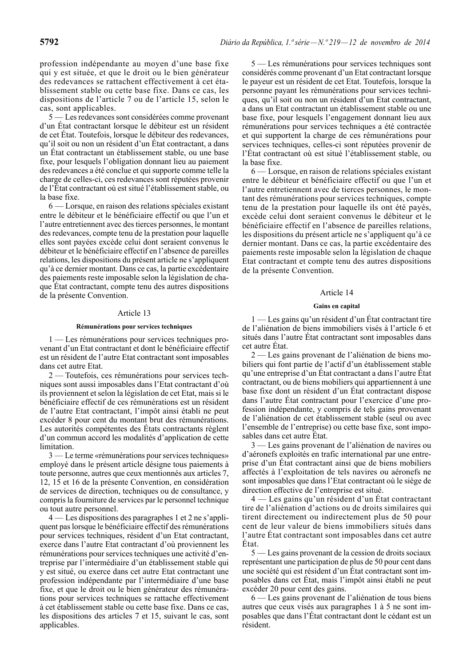profession indépendante au moyen d'une base fixe qui y est située, et que le droit ou le bien générateur des redevances se rattachent effectivement à cet établissement stable ou cette base fixe. Dans ce cas, les dispositions de l'article 7 ou de l'article 15, selon le cas, sont applicables.

5 — Les redevances sont considérées comme provenant d'un État contractant lorsque le débiteur est un résident de cet État. Toutefois, lorsque le débiteur des redevances, qu'il soit ou non un résident d'un État contractant, a dans un État contractant un établissement stable, ou une base fixe, pour lesquels l'obligation donnant lieu au paiement des redevances a été conclue et qui supporte comme telle la charge de celles -ci, ces redevances sont réputées provenir de l'État contractant où est situé l'établissement stable, ou la base fixe.

6 — Lorsque, en raison des relations spéciales existant entre le débiteur et le bénéficiaire effectif ou que l'un et l'autre entretiennent avec des tierces personnes, le montant des redevances, compte tenu de la prestation pour laquelle elles sont payées excède celui dont seraient convenus le débiteur et le bénéficiaire effectif en l'absence de pareilles relations, les dispositions du présent article ne s'appliquent qu'à ce dernier montant. Dans ce cas, la partie excédentaire des paiements reste imposable selon la législation de chaque État contractant, compte tenu des autres dispositions de la présente Convention.

#### Article 13

### **Rémunérations pour services techniques**

1 — Les rémunérations pour services techniques provenant d'un Etat contractant et dont le bénéficiaire effectif est un résident de l'autre Etat contractant sont imposables dans cet autre Etat.

2 — Toutefois, ces rémunérations pour services techniques sont aussi imposables dans l'Etat contractant d'où ils proviennent et selon la législation de cet Etat, mais si le bénéficiaire effectif de ces rémunérations est un résident de l'autre Etat contractant, l'impôt ainsi établi ne peut excéder 8 pour cent du montant brut des rémunérations. Les autorités compétentes des États contractants règlent d'un commun accord les modalités d'application de cette limitation.

3 — Le terme «rémunérations pour services techniques» employé dans le présent article désigne tous paiements à toute personne, autres que ceux mentionnés aux articles 7, 12, 15 et 16 de la présente Convention, en considération de services de direction, techniques ou de consultance, y compris la fourniture de services par le personnel technique ou tout autre personnel.

4 — Les dispositions des paragraphes 1 et 2 ne s'appliquent pas lorsque le bénéficiaire effectif des rémunérations pour services techniques, résident d'un Etat contractant, exerce dans l'autre Etat contractant d'où proviennent les rémunérations pour services techniques une activité d'entreprise par l'intermédiaire d'un établissement stable qui y est situé, ou exerce dans cet autre Etat contractant une profession indépendante par l'intermédiaire d'une base fixe, et que le droit ou le bien générateur des rémunérations pour services techniques se rattache effectivement à cet établissement stable ou cette base fixe. Dans ce cas, les dispositions des articles 7 et 15, suivant le cas, sont applicables.

5 — Les rémunérations pour services techniques sont considérés comme provenant d'un Etat contractant lorsque le payeur est un résident de cet Etat. Toutefois, lorsque la personne payant les rémunérations pour services techniques, qu'il soit ou non un résident d'un Etat contractant, a dans un Etat contractant un établissement stable ou une base fixe, pour lesquels l'engagement donnant lieu aux rémunérations pour services techniques a été contractée et qui supportent la charge de ces rémunérations pour services techniques, celles-ci sont réputées provenir de l'État contractant où est situé l'établissement stable, ou la base fixe.

6 — Lorsque, en raison de relations spéciales existant entre le débiteur et bénéficiaire effectif ou que l'un et l'autre entretiennent avec de tierces personnes, le montant des rémunérations pour services techniques, compte tenu de la prestation pour laquelle ils ont été payés, excède celui dont seraient convenus le débiteur et le bénéficiaire effectif en l'absence de pareilles relations, les dispositions du présent article ne s'appliquent qu'à ce dernier montant. Dans ce cas, la partie excédentaire des paiements reste imposable selon la législation de chaque Etat contractant et compte tenu des autres dispositions de la présente Convention.

# Article 14

## **Gains en capital**

1 — Les gains qu'un résident d'un État contractant tire de l'aliénation de biens immobiliers visés à l'article 6 et situés dans l'autre État contractant sont imposables dans cet autre État.

2 — Les gains provenant de l'aliénation de biens mobiliers qui font partie de l'actif d'un établissement stable qu'une entreprise d'un État contractant a dans l'autre État contractant, ou de biens mobiliers qui appartiennent à une base fixe dont un résident d'un État contractant dispose dans l'autre État contractant pour l'exercice d'une profession indépendante, y compris de tels gains provenant de l'aliénation de cet établissement stable (seul ou avec l'ensemble de l'entreprise) ou cette base fixe, sont imposables dans cet autre État.

3 — Les gains provenant de l'aliénation de navires ou d'aéronefs exploités en trafic international par une entreprise d'un État contractant ainsi que de biens mobiliers affectés à l'exploitation de tels navires ou aéronefs ne sont imposables que dans l'Etat contractant où le siège de direction effective de l'entreprise est situé.

4 — Les gains qu'un résident d'un État contractant tire de l'aliénation d'actions ou de droits similaires qui tirent directement ou indirectement plus de 50 pour cent de leur valeur de biens immobiliers situés dans l'autre État contractant sont imposables dans cet autre État.

5 — Les gains provenant de la cession de droits sociaux représentant une participation de plus de 50 pour cent dans une société qui est résident d'un État contractant sont imposables dans cet État, mais l'impôt ainsi établi ne peut excéder 20 pour cent des gains.

6 — Les gains provenant de l'aliénation de tous biens autres que ceux visés aux paragraphes 1 à 5 ne sont imposables que dans l'État contractant dont le cédant est un résident.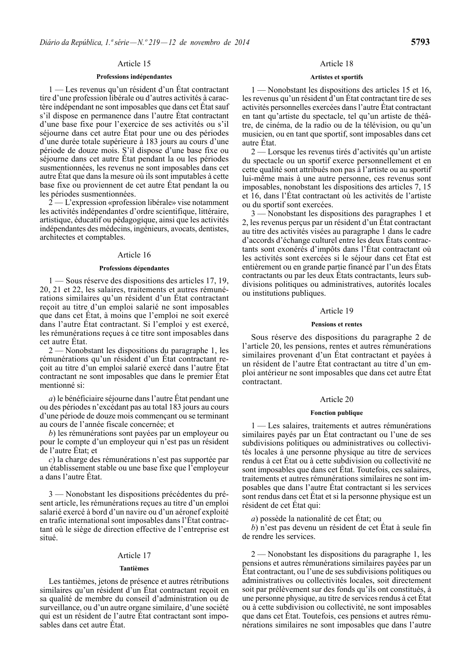### Article 15

#### **Professions indépendantes**

1 — Les revenus qu'un résident d'un État contractant tire d'une profession libérale ou d'autres activités à caractère indépendant ne sont imposables que dans cet État sauf s'il dispose en permanence dans l'autre État contractant d'une base fixe pour l'exercice de ses activités ou s'il séjourne dans cet autre État pour une ou des périodes d'une durée totale supérieure à 183 jours au cours d'une période de douze mois. S'il dispose d'une base fixe ou séjourne dans cet autre État pendant la ou les périodes susmentionnées, les revenus ne sont imposables dans cet autre État que dans la mesure où ils sont imputables à cette base fixe ou proviennent de cet autre État pendant la ou les périodes susmentionnées.

2 — L'expression «profession libérale» vise notamment les activités indépendantes d'ordre scientifique, littéraire, artistique, éducatif ou pédagogique, ainsi que les activités indépendantes des médecins, ingénieurs, avocats, dentistes, architectes et comptables.

# Article 16

# **Professions dépendantes**

1 — Sous réserve des dispositions des articles 17, 19, 20, 21 et 22, les salaires, traitements et autres rémunérations similaires qu'un résident d'un État contractant reçoit au titre d'un emploi salarié ne sont imposables que dans cet État, à moins que l'emploi ne soit exercé dans l'autre État contractant. Si l'emploi y est exercé, les rémunérations reçues à ce titre sont imposables dans cet autre État.

2 — Nonobstant les dispositions du paragraphe 1, les rémunérations qu'un résident d'un État contractant reçoit au titre d'un emploi salarié exercé dans l'autre État contractant ne sont imposables que dans le premier État mentionné si:

*a*) le bénéficiaire séjourne dans l'autre État pendant une ou des périodes n'excédant pas au total 183 jours au cours d'une période de douze mois commençant ou se terminant au cours de l'année fiscale concernée; et

*b*) les rémunérations sont payées par un employeur ou pour le compte d'un employeur qui n'est pas un résident de l'autre État; et

*c*) la charge des rémunérations n'est pas supportée par un établissement stable ou une base fixe que l'employeur a dans l'autre État.

3 — Nonobstant les dispositions précédentes du présent article, les rémunérations reçues au titre d'un emploi salarié exercé à bord d'un navire ou d'un aéronef exploité en trafic international sont imposables dans l'État contractant où le siège de direction effective de l'entreprise est situé.

# Article 17

#### **Tantièmes**

Les tantièmes, jetons de présence et autres rétributions similaires qu'un résident d'un État contractant reçoit en sa qualité de membre du conseil d'administration ou de surveillance, ou d'un autre organe similaire, d'une société qui est un résident de l'autre État contractant sont imposables dans cet autre État.

#### Article 18

#### **Artistes et sportifs**

1 — Nonobstant les dispositions des articles 15 et 16, les revenus qu'un résident d'un État contractant tire de ses activités personnelles exercées dans l'autre État contractant en tant qu'artiste du spectacle, tel qu'un artiste de théâtre, de cinéma, de la radio ou de la télévision, ou qu'un musicien, ou en tant que sportif, sont imposables dans cet autre État.

2 — Lorsque les revenus tirés d'activités qu'un artiste du spectacle ou un sportif exerce personnellement et en cette qualité sont attribués non pas à l'artiste ou au sportif lui -même mais à une autre personne, ces revenus sont imposables, nonobstant les dispositions des articles 7, 15 et 16, dans l'État contractant où les activités de l'artiste ou du sportif sont exercées.

3 — Nonobstant les dispositions des paragraphes 1 et 2, les revenus perçus par un résident d'un État contractant au titre des activités visées au paragraphe 1 dans le cadre d'accords d'échange culturel entre les deux États contractants sont exonérés d'impôts dans l'État contractant où les activités sont exercées si le séjour dans cet État est entièrement ou en grande partie financé par l'un des États contractants ou par les deux États contractants, leurs subdivisions politiques ou administratives, autorités locales ou institutions publiques.

### Article 19

# **Pensions et rentes**

Sous réserve des dispositions du paragraphe 2 de l'article 20, les pensions, rentes et autres rémunérations similaires provenant d'un État contractant et payées à un résident de l'autre État contractant au titre d'un emploi antérieur ne sont imposables que dans cet autre État contractant.

# Article 20

#### **Fonction publique**

1 — Les salaires, traitements et autres rémunérations similaires payés par un État contractant ou l'une de ses subdivisions politiques ou administratives ou collectivités locales à une personne physique au titre de services rendus à cet État ou à cette subdivision ou collectivité ne sont imposables que dans cet État. Toutefois, ces salaires, traitements et autres rémunérations similaires ne sont imposables que dans l'autre État contractant si les services sont rendus dans cet État et si la personne physique est un résident de cet État qui:

*a*) possède la nationalité de cet État; ou

*b*) n'est pas devenu un résident de cet État à seule fin de rendre les services.

2 — Nonobstant les dispositions du paragraphe 1, les pensions et autres rémunérations similaires payées par un État contractant, ou l'une de ses subdivisions politiques ou administratives ou collectivités locales, soit directement soit par prélèvement sur des fonds qu'ils ont constitués, à une personne physique, au titre de services rendus à cet État ou à cette subdivision ou collectivité, ne sont imposables que dans cet État. Toutefois, ces pensions et autres rémunérations similaires ne sont imposables que dans l'autre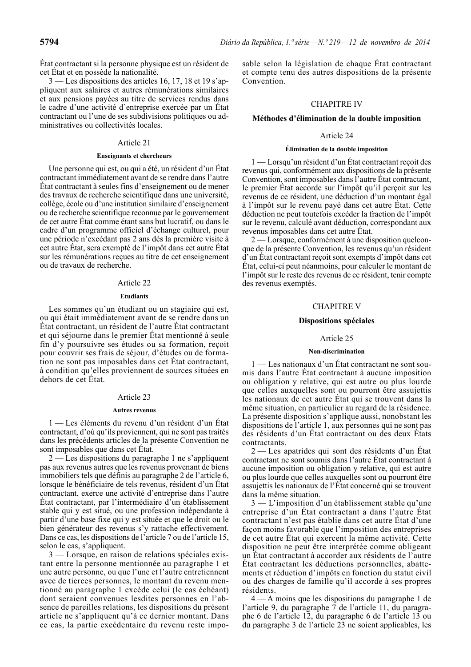État contractant si la personne physique est un résident de cet État et en possède la nationalité.

3 — Les dispositions des articles 16, 17, 18 et 19 s'appliquent aux salaires et autres rémunérations similaires et aux pensions payées au titre de services rendus dans le cadre d'une activité d'entreprise exercée par un État contractant ou l'une de ses subdivisions politiques ou administratives ou collectivités locales.

# Article 21

# **Enseignants et chercheurs**

Une personne qui est, ou qui a été, un résident d'un État contractant immédiatement avant de se rendre dans l'autre État contractant à seules fins d'enseignement ou de mener des travaux de recherche scientifique dans une université, collège, école ou d'une institution similaire d'enseignement ou de recherche scientifique reconnue par le gouvernement de cet autre État comme étant sans but lucratif, ou dans le cadre d'un programme officiel d'échange culturel, pour une période n'excédant pas 2 ans dès la première visite à cet autre État, sera exempté de l'impôt dans cet autre État sur les rémunérations reçues au titre de cet enseignement ou de travaux de recherche.

# Article 22

# **Etudiants**

Les sommes qu'un étudiant ou un stagiaire qui est, ou qui était immédiatement avant de se rendre dans un État contractant, un résident de l'autre État contractant et qui séjourne dans le premier État mentionné à seule fin d'y poursuivre ses études ou sa formation, reçoit pour couvrir ses frais de séjour, d'études ou de formation ne sont pas imposables dans cet État contractant, à condition qu'elles proviennent de sources situées en dehors de cet État.

# Article 23

### **Autres revenus**

1 — Les éléments du revenu d'un résident d'un État contractant, d'où qu'ils proviennent, qui ne sont pas traités dans les précédents articles de la présente Convention ne sont imposables que dans cet État.

2 — Les dispositions du paragraphe 1 ne s'appliquent pas aux revenus autres que les revenus provenant de biens immobiliers tels que définis au paragraphe 2 de l'article 6, lorsque le bénéficiaire de tels revenus, résident d'un État contractant, exerce une activité d'entreprise dans l'autre État contractant, par l'intermédiaire d'un établissement stable qui y est situé, ou une profession indépendante à partir d'une base fixe qui y est située et que le droit ou le bien générateur des revenus s'y rattache effectivement. Dans ce cas, les dispositions de l'article 7 ou de l'article 15, selon le cas, s'appliquent.

3 — Lorsque, en raison de relations spéciales existant entre la personne mentionnée au paragraphe 1 et une autre personne, ou que l'une et l'autre entretiennent avec de tierces personnes, le montant du revenu mentionné au paragraphe 1 excède celui (le cas échéant) dont seraient convenues lesdites personnes en l'absence de pareilles relations, les dispositions du présent article ne s'appliquent qu'à ce dernier montant. Dans ce cas, la partie excédentaire du revenu reste imposable selon la législation de chaque État contractant et compte tenu des autres dispositions de la présente Convention.

# CHAPITRE IV

### **Méthodes d'élimination de la double imposition**

### Article 24

### **Élimination de la double imposition**

1 — Lorsqu'un résident d'un État contractant reçoit des revenus qui, conformément aux dispositions de la présente Convention, sont imposables dans l'autre État contractant, le premier État accorde sur l'impôt qu'il perçoit sur les revenus de ce résident, une déduction d'un montant égal à l'impôt sur le revenu payé dans cet autre État. Cette déduction ne peut toutefois excéder la fraction de l'impôt sur le revenu, calculé avant déduction, correspondant aux revenus imposables dans cet autre État.

2 — Lorsque, conformément à une disposition quelconque de la présente Convention, les revenus qu'un résident d'un État contractant reçoit sont exempts d'impôt dans cet État, celui -ci peut néanmoins, pour calculer le montant de l'impôt sur le reste des revenus de ce résident, tenir compte des revenus exemptés.

# CHAPITRE V

### **Dispositions spéciales**

### Article 25

### **Non -discrimination**

1 — Les nationaux d'un État contractant ne sont soumis dans l'autre État contractant à aucune imposition ou obligation y relative, qui est autre ou plus lourde que celles auxquelles sont ou pourront être assujettis les nationaux de cet autre État qui se trouvent dans la même situation, en particulier au regard de la résidence. La présente disposition s'applique aussi, nonobstant les dispositions de l'article 1, aux personnes qui ne sont pas des résidents d'un État contractant ou des deux États contractants.

2 — Les apatrides qui sont des résidents d'un État contractant ne sont soumis dans l'autre État contractant à aucune imposition ou obligation y relative, qui est autre ou plus lourde que celles auxquelles sont ou pourront être assujettis les nationaux de l'État concerné qui se trouvent dans la même situation.

3 — L'imposition d'un établissement stable qu'une entreprise d'un État contractant a dans l'autre État contractant n'est pas établie dans cet autre État d'une façon moins favorable que l'imposition des entreprises de cet autre État qui exercent la même activité. Cette disposition ne peut être interprétée comme obligeant un État contractant à accorder aux résidents de l'autre État contractant les déductions personnelles, abattements et réduction d'impôts en fonction du statut civil ou des charges de famille qu'il accorde à ses propres résidents.

4 — A moins que les dispositions du paragraphe 1 de l'article 9, du paragraphe 7 de l'article 11, du paragraphe 6 de l'article 12, du paragraphe 6 de l'article 13 ou du paragraphe 3 de l'article 23 ne soient applicables, les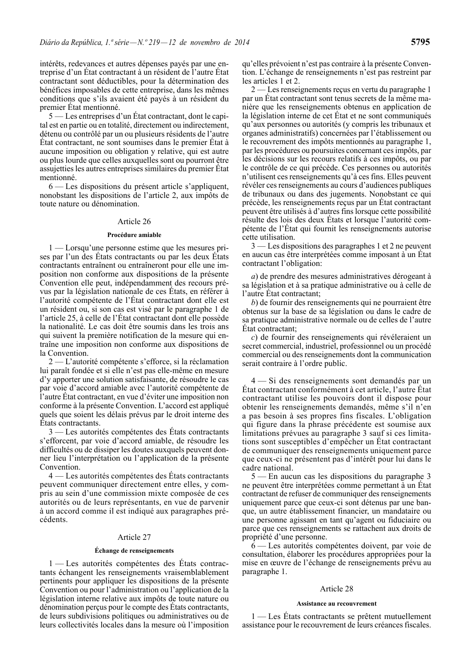intérêts, redevances et autres dépenses payés par une entreprise d'un État contractant à un résident de l'autre État contractant sont déductibles, pour la détermination des bénéfices imposables de cette entreprise, dans les mêmes conditions que s'ils avaient été payés à un résident du premier État mentionné.

5 — Les entreprises d'un État contractant, dont le capital est en partie ou en totalité, directement ou indirectement, détenu ou contrôlé par un ou plusieurs résidents de l'autre État contractant, ne sont soumises dans le premier État à aucune imposition ou obligation y relative, qui est autre ou plus lourde que celles auxquelles sont ou pourront être assujetties les autres entreprises similaires du premier État mentionné.

6 — Les dispositions du présent article s'appliquent, nonobstant les dispositions de l'article 2, aux impôts de toute nature ou dénomination.

### Article 26

### **Procédure amiable**

1 — Lorsqu'une personne estime que les mesures prises par l'un des États contractants ou par les deux États contractants entraînent ou entraîneront pour elle une imposition non conforme aux dispositions de la présente Convention elle peut, indépendamment des recours prévus par la législation nationale de ces États, en référer à l'autorité compétente de l'État contractant dont elle est un résident ou, si son cas est visé par le paragraphe 1 de l'article 25, à celle de l'État contractant dont elle possède la nationalité. Le cas doit être soumis dans les trois ans qui suivent la première notification de la mesure qui entraîne une imposition non conforme aux dispositions de la Convention.

2 — L'autorité compétente s'efforce, si la réclamation lui paraît fondée et si elle n'est pas elle -même en mesure d'y apporter une solution satisfaisante, de résoudre le cas par voie d'accord amiable avec l'autorité compétente de l'autre État contractant, en vue d'éviter une imposition non conforme à la présente Convention. L'accord est appliqué quels que soient les délais prévus par le droit interne des États contractants.

3 — Les autorités compétentes des États contractants s'efforcent, par voie d'accord amiable, de résoudre les difficultés ou de dissiper les doutes auxquels peuvent donner lieu l'interprétation ou l'application de la présente Convention.

4 — Les autorités compétentes des États contractants peuvent communiquer directement entre elles, y compris au sein d'une commission mixte composée de ces autorités ou de leurs représentants, en vue de parvenir à un accord comme il est indiqué aux paragraphes précédents.

### Article 27

#### **Échange de renseignements**

1 — Les autorités compétentes des États contractants échangent les renseignements vraisemblablement pertinents pour appliquer les dispositions de la présente Convention ou pour l'administration ou l'application de la législation interne relative aux impôts de toute nature ou dénomination perçus pour le compte des États contractants, de leurs subdivisions politiques ou administratives ou de leurs collectivités locales dans la mesure où l'imposition qu'elles prévoient n'est pas contraire à la présente Convention. L'échange de renseignements n'est pas restreint par les articles 1 et 2.

2 — Les renseignements reçus en vertu du paragraphe 1 par un État contractant sont tenus secrets de la même manière que les renseignements obtenus en application de la législation interne de cet État et ne sont communiqués qu'aux personnes ou autorités (y compris les tribunaux et organes administratifs) concernées par l'établissement ou le recouvrement des impôts mentionnés au paragraphe 1, par les procédures ou poursuites concernant ces impôts, par les décisions sur les recours relatifs à ces impôts, ou par le contrôle de ce qui précède. Ces personnes ou autorités n'utilisent ces renseignements qu'à ces fins. Elles peuvent révéler ces renseignements au cours d'audiences publiques de tribunaux ou dans des jugements. Nonobstant ce qui précède, les renseignements reçus par un État contractant peuvent être utilisés à d'autres fins lorsque cette possibilité résulte des lois des deux États et lorsque l'autorité compétente de l'État qui fournit les renseignements autorise cette utilisation.

3 — Les dispositions des paragraphes 1 et 2 ne peuvent en aucun cas être interprétées comme imposant à un État contractant l'obligation:

*a*) de prendre des mesures administratives dérogeant à sa législation et à sa pratique administrative ou à celle de l'autre État contractant;

*b*) de fournir des renseignements qui ne pourraient être obtenus sur la base de sa législation ou dans le cadre de sa pratique administrative normale ou de celles de l'autre État contractant;

*c*) de fournir des renseignements qui révéleraient un secret commercial, industriel, professionnel ou un procédé commercial ou des renseignements dont la communication serait contraire à l'ordre public.

4 — Si des renseignements sont demandés par un État contractant conformément à cet article, l'autre État contractant utilise les pouvoirs dont il dispose pour obtenir les renseignements demandés, même s'il n'en a pas besoin à ses propres fins fiscales. L'obligation qui figure dans la phrase précédente est soumise aux limitations prévues au paragraphe 3 sauf si ces limitations sont susceptibles d'empêcher un État contractant de communiquer des renseignements uniquement parce que ceux -ci ne présentent pas d'intérêt pour lui dans le cadre national.

5 — En aucun cas les dispositions du paragraphe 3 ne peuvent être interprétées comme permettant à un État contractant de refuser de communiquer des renseignements uniquement parce que ceux -ci sont détenus par une banque, un autre établissement financier, un mandataire ou une personne agissant en tant qu'agent ou fiduciaire ou parce que ces renseignements se rattachent aux droits de propriété d'une personne.

6 — Les autorités compétentes doivent, par voie de consultation, élaborer les procédures appropriées pour la mise en œuvre de l'échange de renseignements prévu au paragraphe 1.

#### Article 28

#### **Assistance au recouvrement**

1 — Les États contractants se prêtent mutuellement assistance pour le recouvrement de leurs créances fiscales.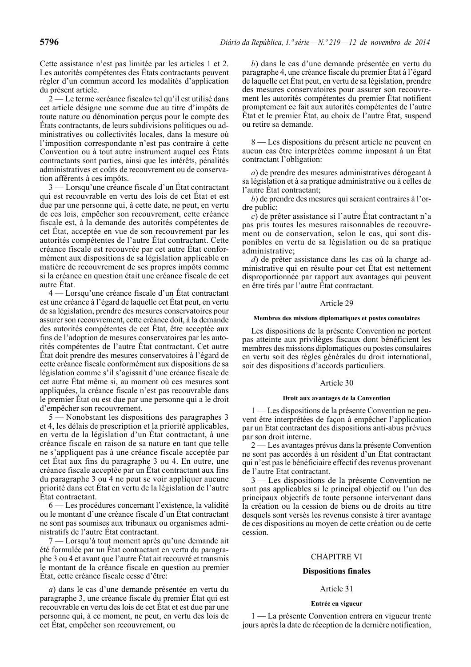Cette assistance n'est pas limitée par les articles 1 et 2. Les autorités compétentes des États contractants peuvent régler d'un commun accord les modalités d'application du présent article.

2 — Le terme «créance fiscale» tel qu'il est utilisé dans cet article désigne une somme due au titre d'impôts de toute nature ou dénomination perçus pour le compte des États contractants, de leurs subdivisions politiques ou administratives ou collectivités locales, dans la mesure où l'imposition correspondante n'est pas contraire à cette Convention ou à tout autre instrument auquel ces États contractants sont parties, ainsi que les intérêts, pénalités administratives et coûts de recouvrement ou de conservation afférents à ces impôts.

3 — Lorsqu'une créance fiscale d'un État contractant qui est recouvrable en vertu des lois de cet État et est due par une personne qui, à cette date, ne peut, en vertu de ces lois, empêcher son recouvrement, cette créance fiscale est, à la demande des autorités compétentes de cet État, acceptée en vue de son recouvrement par les autorités compétentes de l'autre État contractant. Cette créance fiscale est recouvrée par cet autre État conformément aux dispositions de sa législation applicable en matière de recouvrement de ses propres impôts comme si la créance en question était une créance fiscale de cet autre État.

4 — Lorsqu'une créance fiscale d'un État contractant est une créance à l'égard de laquelle cet État peut, en vertu de sa législation, prendre des mesures conservatoires pour assurer son recouvrement, cette créance doit, à la demande des autorités compétentes de cet État, être acceptée aux fins de l'adoption de mesures conservatoires par les autorités compétentes de l'autre État contractant. Cet autre État doit prendre des mesures conservatoires à l'égard de cette créance fiscale conformément aux dispositions de sa législation comme s'il s'agissait d'une créance fiscale de cet autre État même si, au moment où ces mesures sont appliquées, la créance fiscale n'est pas recouvrable dans le premier État ou est due par une personne qui a le droit d'empêcher son recouvrement.

5 — Nonobstant les dispositions des paragraphes 3 et 4, les délais de prescription et la priorité applicables, en vertu de la législation d'un État contractant, à une créance fiscale en raison de sa nature en tant que telle ne s'appliquent pas à une créance fiscale acceptée par cet État aux fins du paragraphe 3 ou 4. En outre, une créance fiscale acceptée par un État contractant aux fins du paragraphe 3 ou 4 ne peut se voir appliquer aucune priorité dans cet État en vertu de la législation de l'autre État contractant.

6 — Les procédures concernant l'existence, la validité ou le montant d'une créance fiscale d'un État contractant ne sont pas soumises aux tribunaux ou organismes administratifs de l'autre État contractant.

7 — Lorsqu'à tout moment après qu'une demande ait été formulée par un État contractant en vertu du paragraphe 3 ou 4 et avant que l'autre État ait recouvré et transmis le montant de la créance fiscale en question au premier État, cette créance fiscale cesse d'être:

*a*) dans le cas d'une demande présentée en vertu du paragraphe 3, une créance fiscale du premier État qui est recouvrable en vertu des lois de cet État et est due par une personne qui, à ce moment, ne peut, en vertu des lois de cet État, empêcher son recouvrement, ou

*b*) dans le cas d'une demande présentée en vertu du paragraphe 4, une créance fiscale du premier État à l'égard de laquelle cet État peut, en vertu de sa législation, prendre des mesures conservatoires pour assurer son recouvrement les autorités compétentes du premier État notifient promptement ce fait aux autorités compétentes de l'autre État et le premier État, au choix de l'autre État, suspend ou retire sa demande.

8 — Les dispositions du présent article ne peuvent en aucun cas être interprétées comme imposant à un État contractant l'obligation:

*a*) de prendre des mesures administratives dérogeant à sa législation et à sa pratique administrative ou à celles de l'autre État contractant;

*b*) de prendre des mesures qui seraient contraires à l'ordre public;

*c*) de prêter assistance si l'autre État contractant n'a pas pris toutes les mesures raisonnables de recouvrement ou de conservation, selon le cas, qui sont disponibles en vertu de sa législation ou de sa pratique administrative;

*d*) de prêter assistance dans les cas où la charge administrative qui en résulte pour cet État est nettement disproportionnée par rapport aux avantages qui peuvent en être tirés par l'autre État contractant.

# Article 29

### **Membres des missions diplomatiques et postes consulaires**

Les dispositions de la présente Convention ne portent pas atteinte aux privilèges fiscaux dont bénéficient les membres des missions diplomatiques ou postes consulaires en vertu soit des règles générales du droit international, soit des dispositions d'accords particuliers.

# Article 30

#### **Droit aux avantages de la Convention**

1 — Les dispositions de la présente Convention ne peuvent être interprétées de façon à empêcher l'application par un Etat contractant des dispositions anti -abus prévues par son droit interne.

2 — Les avantages prévus dans la présente Convention ne sont pas accordés à un résident d'un État contractant qui n'est pas le bénéficiaire effectif des revenus provenant de l'autre Etat contractant.

3 — Les dispositions de la présente Convention ne sont pas applicables si le principal objectif ou l'un des principaux objectifs de toute personne intervenant dans la création ou la cession de biens ou de droits au titre desquels sont versés les revenus consiste à tirer avantage de ces dispositions au moyen de cette création ou de cette cession.

# CHAPITRE VI

# **Dispositions finales**

# Article 31

# **Entrée en vigueur**

1 — La présente Convention entrera en vigueur trente jours après la date de réception de la dernière notification,